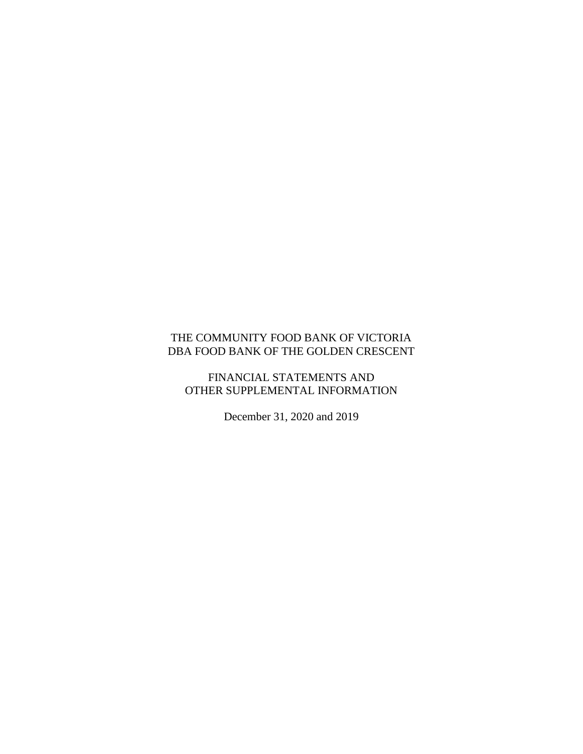# THE COMMUNITY FOOD BANK OF VICTORIA DBA FOOD BANK OF THE GOLDEN CRESCENT

FINANCIAL STATEMENTS AND OTHER SUPPLEMENTAL INFORMATION

December 31, 2020 and 2019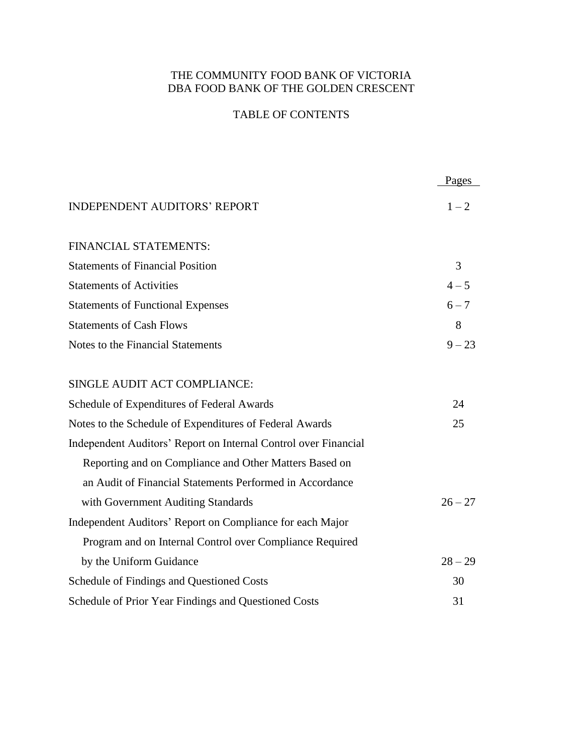# THE COMMUNITY FOOD BANK OF VICTORIA DBA FOOD BANK OF THE GOLDEN CRESCENT

# TABLE OF CONTENTS

|                                                                 | Pages     |
|-----------------------------------------------------------------|-----------|
| <b>INDEPENDENT AUDITORS' REPORT</b>                             | $1 - 2$   |
| FINANCIAL STATEMENTS:                                           |           |
| <b>Statements of Financial Position</b>                         | 3         |
| <b>Statements of Activities</b>                                 | $4 - 5$   |
| <b>Statements of Functional Expenses</b>                        | $6 - 7$   |
| <b>Statements of Cash Flows</b>                                 | 8         |
| Notes to the Financial Statements                               | $9 - 23$  |
| SINGLE AUDIT ACT COMPLIANCE:                                    |           |
| Schedule of Expenditures of Federal Awards                      | 24        |
| Notes to the Schedule of Expenditures of Federal Awards         | 25        |
| Independent Auditors' Report on Internal Control over Financial |           |
| Reporting and on Compliance and Other Matters Based on          |           |
| an Audit of Financial Statements Performed in Accordance        |           |
| with Government Auditing Standards                              | $26 - 27$ |
| Independent Auditors' Report on Compliance for each Major       |           |
| Program and on Internal Control over Compliance Required        |           |
| by the Uniform Guidance                                         | $28 - 29$ |
| Schedule of Findings and Questioned Costs                       | 30        |
| Schedule of Prior Year Findings and Questioned Costs            | 31        |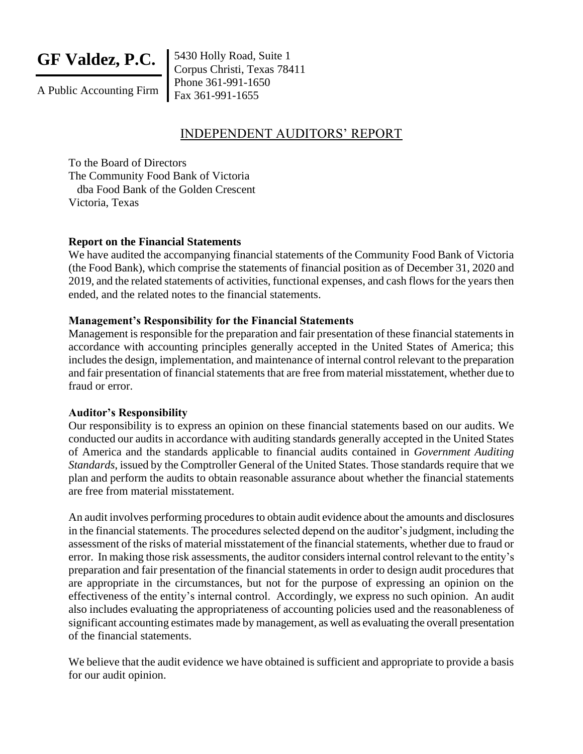

A Public Accounting Firm

5430 Holly Road, Suite 1 Corpus Christi, Texas 78411 Phone 361-991-1650 Fax 361-991-1655

# INDEPENDENT AUDITORS' REPORT

To the Board of Directors The Community Food Bank of Victoria dba Food Bank of the Golden Crescent Victoria, Texas

#### **Report on the Financial Statements**

We have audited the accompanying financial statements of the Community Food Bank of Victoria (the Food Bank), which comprise the statements of financial position as of December 31, 2020 and 2019, and the related statements of activities, functional expenses, and cash flows for the years then ended, and the related notes to the financial statements.

#### **Management's Responsibility for the Financial Statements**

Management is responsible for the preparation and fair presentation of these financial statements in accordance with accounting principles generally accepted in the United States of America; this includes the design, implementation, and maintenance of internal control relevant to the preparation and fair presentation of financial statements that are free from material misstatement, whether due to fraud or error.

#### **Auditor's Responsibility**

Our responsibility is to express an opinion on these financial statements based on our audits. We conducted our audits in accordance with auditing standards generally accepted in the United States of America and the standards applicable to financial audits contained in *Government Auditing Standards*, issued by the Comptroller General of the United States. Those standards require that we plan and perform the audits to obtain reasonable assurance about whether the financial statements are free from material misstatement.

An audit involves performing procedures to obtain audit evidence about the amounts and disclosures in the financial statements. The procedures selected depend on the auditor's judgment, including the assessment of the risks of material misstatement of the financial statements, whether due to fraud or error. In making those risk assessments, the auditor considers internal control relevant to the entity's preparation and fair presentation of the financial statements in order to design audit procedures that are appropriate in the circumstances, but not for the purpose of expressing an opinion on the effectiveness of the entity's internal control. Accordingly, we express no such opinion. An audit also includes evaluating the appropriateness of accounting policies used and the reasonableness of significant accounting estimates made by management, as well as evaluating the overall presentation of the financial statements.

We believe that the audit evidence we have obtained is sufficient and appropriate to provide a basis for our audit opinion.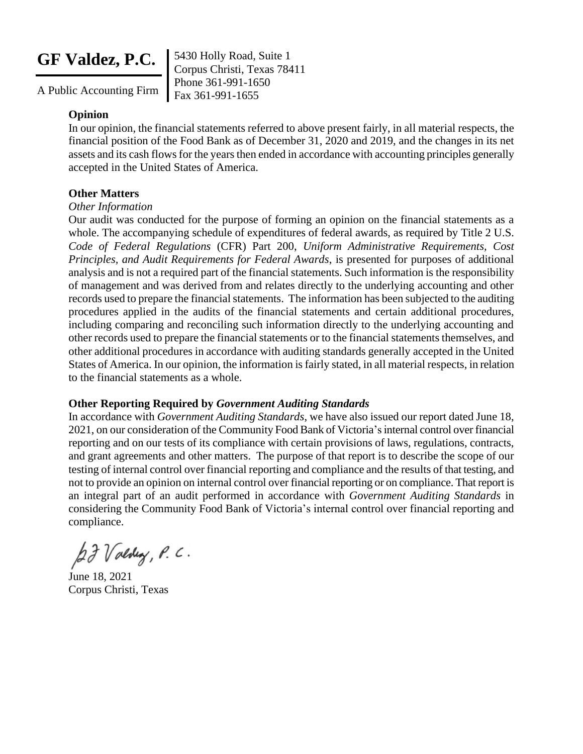

A Public Accounting Firm Fax 361-991-1655 5430 Holly Road, Suite 1 Corpus Christi, Texas 78411 Phone 361-991-1650

### **Opinion**

In our opinion, the financial statements referred to above present fairly, in all material respects, the financial position of the Food Bank as of December 31, 2020 and 2019, and the changes in its net assets and its cash flows for the years then ended in accordance with accounting principles generally accepted in the United States of America.

### **Other Matters**

#### *Other Information*

Our audit was conducted for the purpose of forming an opinion on the financial statements as a whole. The accompanying schedule of expenditures of federal awards, as required by Title 2 U.S. *Code of Federal Regulations* (CFR) Part 200, *Uniform Administrative Requirements, Cost Principles, and Audit Requirements for Federal Awards*, is presented for purposes of additional analysis and is not a required part of the financial statements. Such information is the responsibility of management and was derived from and relates directly to the underlying accounting and other records used to prepare the financial statements. The information has been subjected to the auditing procedures applied in the audits of the financial statements and certain additional procedures, including comparing and reconciling such information directly to the underlying accounting and other records used to prepare the financial statements or to the financial statements themselves, and other additional procedures in accordance with auditing standards generally accepted in the United States of America. In our opinion, the information is fairly stated, in all material respects, in relation to the financial statements as a whole.

### **Other Reporting Required by** *Government Auditing Standards*

In accordance with *Government Auditing Standards*, we have also issued our report dated June 18, 2021, on our consideration of the Community Food Bank of Victoria's internal control over financial reporting and on our tests of its compliance with certain provisions of laws, regulations, contracts, and grant agreements and other matters. The purpose of that report is to describe the scope of our testing of internal control over financial reporting and compliance and the results of that testing, and not to provide an opinion on internal control over financial reporting or on compliance. That report is an integral part of an audit performed in accordance with *Government Auditing Standards* in considering the Community Food Bank of Victoria's internal control over financial reporting and compliance.

pd Valdeg, P.C.

June 18, 2021 Corpus Christi, Texas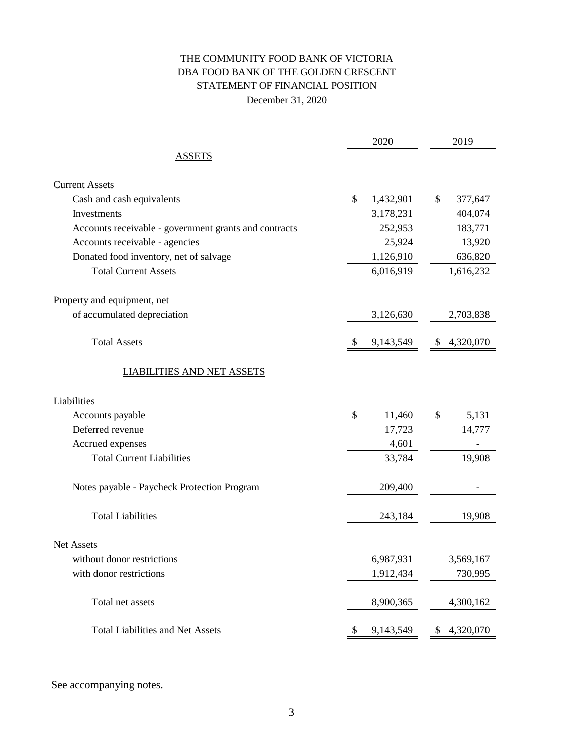# DBA FOOD BANK OF THE GOLDEN CRESCENT STATEMENT OF FINANCIAL POSITION December 31, 2020 THE COMMUNITY FOOD BANK OF VICTORIA

|                                                       | 2020            | 2019            |
|-------------------------------------------------------|-----------------|-----------------|
| <b>ASSETS</b>                                         |                 |                 |
| <b>Current Assets</b>                                 |                 |                 |
| Cash and cash equivalents                             | \$<br>1,432,901 | \$<br>377,647   |
| Investments                                           | 3,178,231       | 404,074         |
| Accounts receivable - government grants and contracts | 252,953         | 183,771         |
| Accounts receivable - agencies                        | 25,924          | 13,920          |
| Donated food inventory, net of salvage                | 1,126,910       | 636,820         |
| <b>Total Current Assets</b>                           | 6,016,919       | 1,616,232       |
| Property and equipment, net                           |                 |                 |
| of accumulated depreciation                           | 3,126,630       | 2,703,838       |
| <b>Total Assets</b>                                   | 9,143,549<br>S  | 4,320,070       |
| <b>LIABILITIES AND NET ASSETS</b>                     |                 |                 |
| Liabilities                                           |                 |                 |
| Accounts payable                                      | \$<br>11,460    | \$<br>5,131     |
| Deferred revenue                                      | 17,723          | 14,777          |
| Accrued expenses                                      | 4,601           |                 |
| <b>Total Current Liabilities</b>                      | 33,784          | 19,908          |
| Notes payable - Paycheck Protection Program           | 209,400         |                 |
| <b>Total Liabilities</b>                              | 243,184         | 19,908          |
| Net Assets                                            |                 |                 |
| without donor restrictions                            | 6,987,931       | 3,569,167       |
| with donor restrictions                               | 1,912,434       | 730,995         |
| Total net assets                                      | 8,900,365       | 4,300,162       |
| <b>Total Liabilities and Net Assets</b>               | 9,143,549<br>\$ | 4,320,070<br>\$ |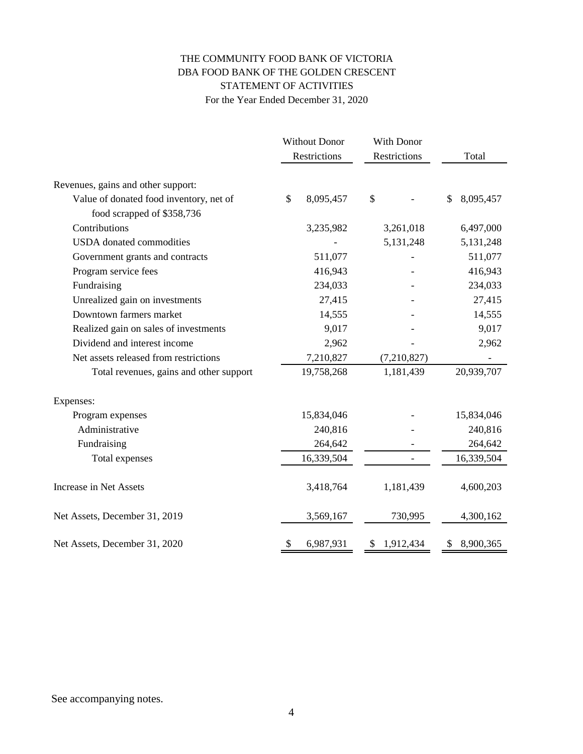### DBA FOOD BANK OF THE GOLDEN CRESCENT STATEMENT OF ACTIVITIES For the Year Ended December 31, 2020 THE COMMUNITY FOOD BANK OF VICTORIA

|                                         | <b>Without Donor</b><br>Restrictions |            | With Donor<br>Restrictions |             | Total           |
|-----------------------------------------|--------------------------------------|------------|----------------------------|-------------|-----------------|
|                                         |                                      |            |                            |             |                 |
| Revenues, gains and other support:      |                                      |            |                            |             |                 |
| Value of donated food inventory, net of | \$                                   | 8,095,457  | \$                         |             | \$<br>8,095,457 |
| food scrapped of \$358,736              |                                      |            |                            |             |                 |
| Contributions                           |                                      | 3,235,982  |                            | 3,261,018   | 6,497,000       |
| <b>USDA</b> donated commodities         |                                      |            |                            | 5,131,248   | 5,131,248       |
| Government grants and contracts         |                                      | 511,077    |                            |             | 511,077         |
| Program service fees                    |                                      | 416,943    |                            |             | 416,943         |
| Fundraising                             |                                      | 234,033    |                            |             | 234,033         |
| Unrealized gain on investments          |                                      | 27,415     |                            |             | 27,415          |
| Downtown farmers market                 |                                      | 14,555     |                            |             | 14,555          |
| Realized gain on sales of investments   |                                      | 9,017      |                            |             | 9,017           |
| Dividend and interest income            |                                      | 2,962      |                            |             | 2,962           |
| Net assets released from restrictions   |                                      | 7,210,827  |                            | (7,210,827) |                 |
| Total revenues, gains and other support |                                      | 19,758,268 |                            | 1,181,439   | 20,939,707      |
| Expenses:                               |                                      |            |                            |             |                 |
| Program expenses                        |                                      | 15,834,046 |                            |             | 15,834,046      |
| Administrative                          |                                      | 240,816    |                            |             | 240,816         |
| Fundraising                             |                                      | 264,642    |                            |             | 264,642         |
| Total expenses                          |                                      | 16,339,504 |                            |             | 16,339,504      |
| <b>Increase in Net Assets</b>           |                                      | 3,418,764  |                            | 1,181,439   | 4,600,203       |
| Net Assets, December 31, 2019           |                                      | 3,569,167  |                            | 730,995     | 4,300,162       |
| Net Assets, December 31, 2020           | \$                                   | 6,987,931  |                            | \$1,912,434 | \$<br>8,900,365 |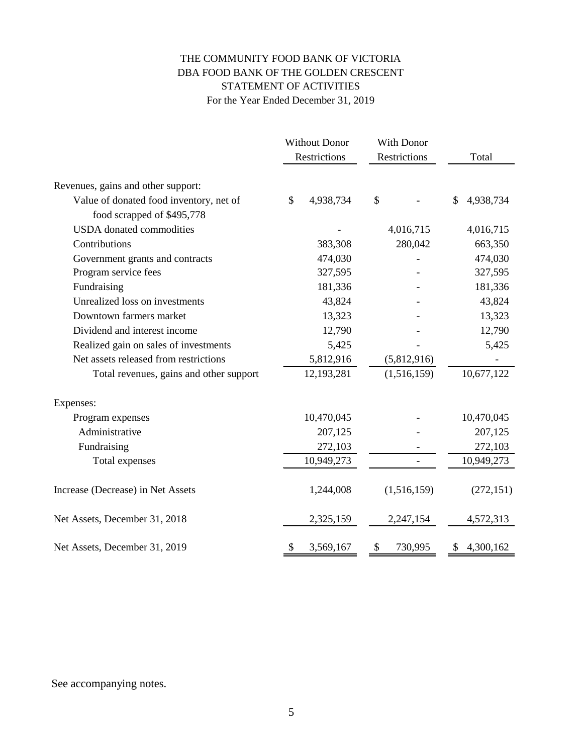### DBA FOOD BANK OF THE GOLDEN CRESCENT STATEMENT OF ACTIVITIES For the Year Ended December 31, 2019 THE COMMUNITY FOOD BANK OF VICTORIA

|                                         | <b>Without Donor</b><br>Restrictions |            | With Donor<br>Restrictions |             | Total           |
|-----------------------------------------|--------------------------------------|------------|----------------------------|-------------|-----------------|
|                                         |                                      |            |                            |             |                 |
| Revenues, gains and other support:      |                                      |            |                            |             |                 |
| Value of donated food inventory, net of | \$                                   | 4,938,734  | \$                         |             | \$<br>4,938,734 |
| food scrapped of \$495,778              |                                      |            |                            |             |                 |
| <b>USDA</b> donated commodities         |                                      |            |                            | 4,016,715   | 4,016,715       |
| Contributions                           |                                      | 383,308    |                            | 280,042     | 663,350         |
| Government grants and contracts         |                                      | 474,030    |                            |             | 474,030         |
| Program service fees                    |                                      | 327,595    |                            |             | 327,595         |
| Fundraising                             |                                      | 181,336    |                            |             | 181,336         |
| Unrealized loss on investments          |                                      | 43,824     |                            |             | 43,824          |
| Downtown farmers market                 |                                      | 13,323     |                            |             | 13,323          |
| Dividend and interest income            |                                      | 12,790     |                            |             | 12,790          |
| Realized gain on sales of investments   |                                      | 5,425      |                            |             | 5,425           |
| Net assets released from restrictions   |                                      | 5,812,916  |                            | (5,812,916) |                 |
| Total revenues, gains and other support |                                      | 12,193,281 |                            | (1,516,159) | 10,677,122      |
| Expenses:                               |                                      |            |                            |             |                 |
| Program expenses                        |                                      | 10,470,045 |                            |             | 10,470,045      |
| Administrative                          |                                      | 207,125    |                            |             | 207,125         |
| Fundraising                             |                                      | 272,103    |                            |             | 272,103         |
| Total expenses                          |                                      | 10,949,273 |                            |             | 10,949,273      |
| Increase (Decrease) in Net Assets       |                                      | 1,244,008  |                            | (1,516,159) | (272, 151)      |
| Net Assets, December 31, 2018           |                                      | 2,325,159  |                            | 2,247,154   | 4,572,313       |
| Net Assets, December 31, 2019           | \$                                   | 3,569,167  | \$                         | 730,995     | \$<br>4,300,162 |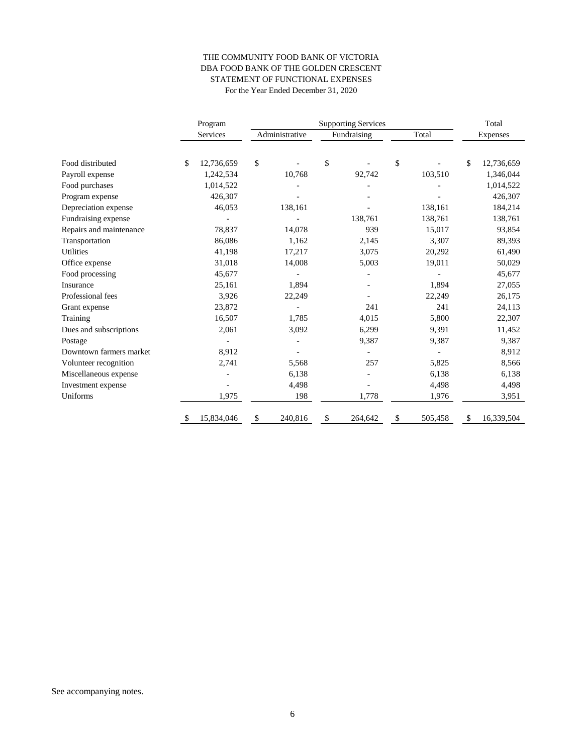# DBA FOOD BANK OF THE GOLDEN CRESCENT STATEMENT OF FUNCTIONAL EXPENSES For the Year Ended December 31, 2020 THE COMMUNITY FOOD BANK OF VICTORIA

|                         | Program          | <b>Supporting Services</b> |                |    |             |    |         |    | Total      |  |
|-------------------------|------------------|----------------------------|----------------|----|-------------|----|---------|----|------------|--|
|                         | Services         |                            | Administrative |    | Fundraising |    | Total   |    | Expenses   |  |
| Food distributed        | \$<br>12,736,659 | \$                         |                | \$ |             | \$ |         | \$ | 12,736,659 |  |
| Payroll expense         | 1,242,534        |                            | 10,768         |    | 92,742      |    | 103,510 |    | 1,346,044  |  |
| Food purchases          | 1,014,522        |                            |                |    |             |    |         |    | 1,014,522  |  |
| Program expense         | 426,307          |                            |                |    |             |    |         |    | 426,307    |  |
| Depreciation expense    | 46,053           |                            | 138,161        |    |             |    | 138,161 |    | 184,214    |  |
| Fundraising expense     |                  |                            |                |    | 138,761     |    | 138,761 |    | 138,761    |  |
| Repairs and maintenance | 78,837           |                            | 14,078         |    | 939         |    | 15,017  |    | 93,854     |  |
| Transportation          | 86,086           |                            | 1,162          |    | 2,145       |    | 3,307   |    | 89,393     |  |
| <b>Utilities</b>        | 41,198           |                            | 17,217         |    | 3,075       |    | 20,292  |    | 61,490     |  |
| Office expense          | 31,018           |                            | 14,008         |    | 5,003       |    | 19,011  |    | 50,029     |  |
| Food processing         | 45,677           |                            |                |    |             |    |         |    | 45,677     |  |
| Insurance               | 25,161           |                            | 1,894          |    |             |    | 1,894   |    | 27,055     |  |
| Professional fees       | 3,926            |                            | 22,249         |    |             |    | 22,249  |    | 26,175     |  |
| Grant expense           | 23,872           |                            |                |    | 241         |    | 241     |    | 24,113     |  |
| Training                | 16,507           |                            | 1,785          |    | 4,015       |    | 5,800   |    | 22,307     |  |
| Dues and subscriptions  | 2,061            |                            | 3,092          |    | 6,299       |    | 9,391   |    | 11,452     |  |
| Postage                 |                  |                            |                |    | 9,387       |    | 9,387   |    | 9,387      |  |
| Downtown farmers market | 8,912            |                            |                |    |             |    |         |    | 8,912      |  |
| Volunteer recognition   | 2,741            |                            | 5,568          |    | 257         |    | 5,825   |    | 8,566      |  |
| Miscellaneous expense   |                  |                            | 6,138          |    |             |    | 6,138   |    | 6,138      |  |
| Investment expense      |                  |                            | 4,498          |    |             |    | 4,498   |    | 4,498      |  |
| Uniforms                | 1,975            |                            | 198            |    | 1,778       |    | 1,976   |    | 3,951      |  |
|                         | \$<br>15,834,046 | \$                         | 240,816        | \$ | 264,642     | \$ | 505,458 | \$ | 16,339,504 |  |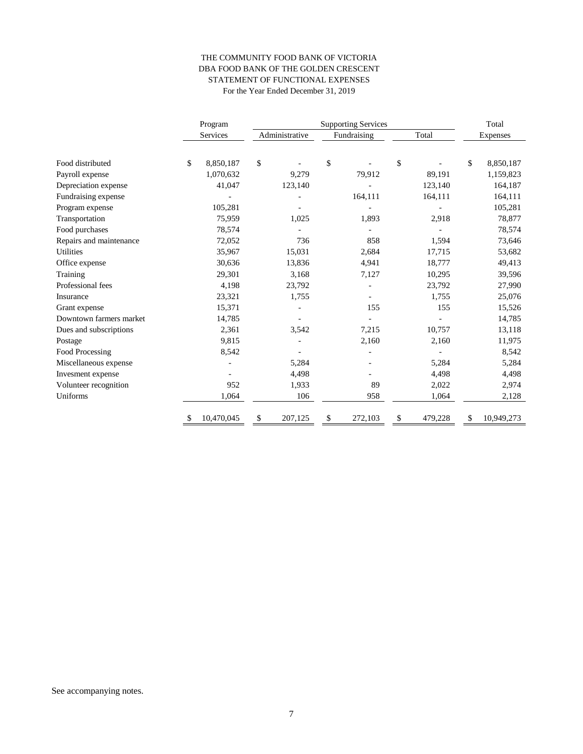#### DBA FOOD BANK OF THE GOLDEN CRESCENT STATEMENT OF FUNCTIONAL EXPENSES For the Year Ended December 31, 2019 THE COMMUNITY FOOD BANK OF VICTORIA

|                         | Program          | <b>Supporting Services</b> |                |    |             |       | Total   |    |            |  |
|-------------------------|------------------|----------------------------|----------------|----|-------------|-------|---------|----|------------|--|
|                         | Services         |                            | Administrative |    | Fundraising | Total |         |    | Expenses   |  |
|                         |                  |                            |                |    |             |       |         |    |            |  |
| Food distributed        | \$<br>8,850,187  | \$                         |                | \$ |             | \$    |         | \$ | 8,850,187  |  |
| Payroll expense         | 1,070,632        |                            | 9,279          |    | 79,912      |       | 89,191  |    | 1,159,823  |  |
| Depreciation expense    | 41,047           |                            | 123,140        |    |             |       | 123,140 |    | 164,187    |  |
| Fundraising expense     |                  |                            |                |    | 164,111     |       | 164,111 |    | 164,111    |  |
| Program expense         | 105,281          |                            |                |    |             |       |         |    | 105,281    |  |
| Transportation          | 75,959           |                            | 1,025          |    | 1,893       |       | 2,918   |    | 78,877     |  |
| Food purchases          | 78,574           |                            |                |    |             |       |         |    | 78,574     |  |
| Repairs and maintenance | 72,052           |                            | 736            |    | 858         |       | 1,594   |    | 73,646     |  |
| <b>Utilities</b>        | 35,967           |                            | 15,031         |    | 2,684       |       | 17,715  |    | 53,682     |  |
| Office expense          | 30,636           |                            | 13,836         |    | 4,941       |       | 18,777  |    | 49,413     |  |
| Training                | 29,301           |                            | 3,168          |    | 7,127       |       | 10,295  |    | 39,596     |  |
| Professional fees       | 4,198            |                            | 23,792         |    |             |       | 23,792  |    | 27,990     |  |
| Insurance               | 23,321           |                            | 1,755          |    |             |       | 1,755   |    | 25,076     |  |
| Grant expense           | 15,371           |                            |                |    | 155         |       | 155     |    | 15,526     |  |
| Downtown farmers market | 14,785           |                            |                |    |             |       |         |    | 14,785     |  |
| Dues and subscriptions  | 2,361            |                            | 3,542          |    | 7,215       |       | 10,757  |    | 13,118     |  |
| Postage                 | 9,815            |                            |                |    | 2,160       |       | 2,160   |    | 11,975     |  |
| Food Processing         | 8,542            |                            |                |    |             |       |         |    | 8,542      |  |
| Miscellaneous expense   |                  |                            | 5,284          |    |             |       | 5,284   |    | 5,284      |  |
| Invesment expense       |                  |                            | 4,498          |    |             |       | 4,498   |    | 4,498      |  |
| Volunteer recognition   | 952              |                            | 1,933          |    | 89          |       | 2,022   |    | 2,974      |  |
| Uniforms                | 1,064            |                            | 106            |    | 958         |       | 1,064   |    | 2,128      |  |
|                         | \$<br>10,470,045 | \$                         | 207,125        | \$ | 272,103     | \$    | 479,228 | \$ | 10,949,273 |  |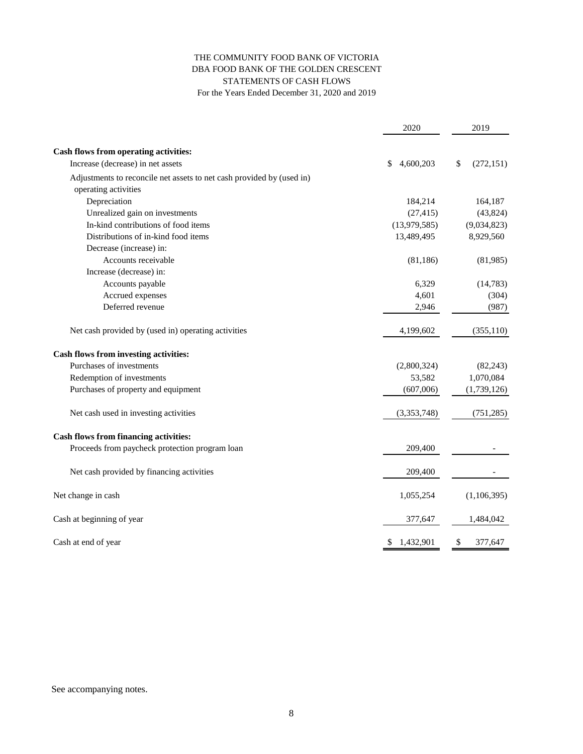# DBA FOOD BANK OF THE GOLDEN CRESCENT STATEMENTS OF CASH FLOWS For the Years Ended December 31, 2020 and 2019 THE COMMUNITY FOOD BANK OF VICTORIA

|                                                                       | 2020            | 2019             |  |
|-----------------------------------------------------------------------|-----------------|------------------|--|
| Cash flows from operating activities:                                 |                 |                  |  |
| Increase (decrease) in net assets                                     | \$<br>4,600,203 | \$<br>(272, 151) |  |
| Adjustments to reconcile net assets to net cash provided by (used in) |                 |                  |  |
| operating activities                                                  |                 |                  |  |
| Depreciation                                                          | 184,214         | 164,187          |  |
| Unrealized gain on investments                                        | (27, 415)       | (43, 824)        |  |
| In-kind contributions of food items                                   | (13,979,585)    | (9,034,823)      |  |
| Distributions of in-kind food items                                   | 13,489,495      | 8,929,560        |  |
| Decrease (increase) in:                                               |                 |                  |  |
| Accounts receivable                                                   | (81, 186)       | (81,985)         |  |
| Increase (decrease) in:                                               |                 |                  |  |
| Accounts payable                                                      | 6,329           | (14, 783)        |  |
| Accrued expenses                                                      | 4,601           | (304)            |  |
| Deferred revenue                                                      | 2,946           | (987)            |  |
| Net cash provided by (used in) operating activities                   | 4,199,602       | (355, 110)       |  |
| <b>Cash flows from investing activities:</b>                          |                 |                  |  |
| Purchases of investments                                              | (2,800,324)     | (82, 243)        |  |
| Redemption of investments                                             | 53,582          | 1,070,084        |  |
| Purchases of property and equipment                                   | (607,006)       | (1,739,126)      |  |
| Net cash used in investing activities                                 | (3,353,748)     | (751, 285)       |  |
| <b>Cash flows from financing activities:</b>                          |                 |                  |  |
| Proceeds from paycheck protection program loan                        | 209,400         |                  |  |
| Net cash provided by financing activities                             | 209,400         |                  |  |
| Net change in cash                                                    | 1,055,254       | (1,106,395)      |  |
| Cash at beginning of year                                             | 377,647         | 1,484,042        |  |
| Cash at end of year                                                   | 1,432,901<br>\$ | \$<br>377,647    |  |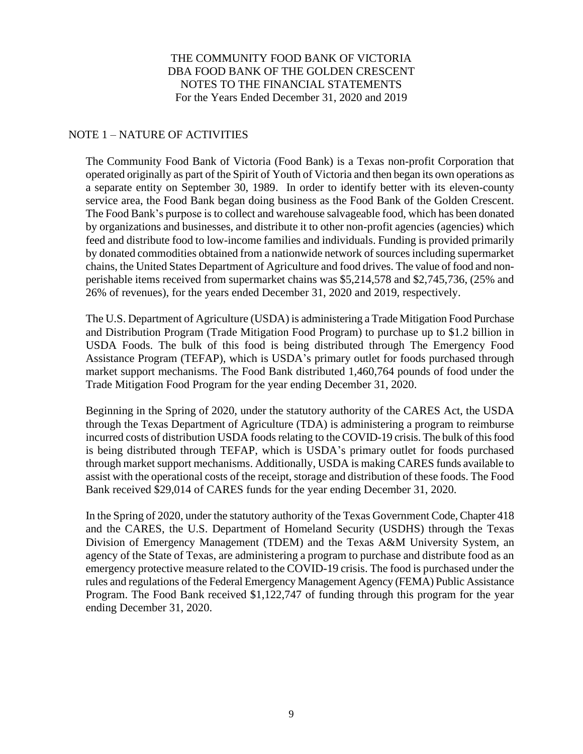### NOTE 1 – NATURE OF ACTIVITIES

The Community Food Bank of Victoria (Food Bank) is a Texas non-profit Corporation that operated originally as part of the Spirit of Youth of Victoria and then began its own operations as a separate entity on September 30, 1989. In order to identify better with its eleven-county service area, the Food Bank began doing business as the Food Bank of the Golden Crescent. The Food Bank's purpose is to collect and warehouse salvageable food, which has been donated by organizations and businesses, and distribute it to other non-profit agencies (agencies) which feed and distribute food to low-income families and individuals. Funding is provided primarily by donated commodities obtained from a nationwide network of sources including supermarket chains, the United States Department of Agriculture and food drives. The value of food and nonperishable items received from supermarket chains was \$5,214,578 and \$2,745,736, (25% and 26% of revenues), for the years ended December 31, 2020 and 2019, respectively.

The U.S. Department of Agriculture (USDA) is administering a Trade Mitigation Food Purchase and Distribution Program (Trade Mitigation Food Program) to purchase up to \$1.2 billion in USDA Foods. The bulk of this food is being distributed through The Emergency Food Assistance Program (TEFAP), which is USDA's primary outlet for foods purchased through market support mechanisms. The Food Bank distributed 1,460,764 pounds of food under the Trade Mitigation Food Program for the year ending December 31, 2020.

Beginning in the Spring of 2020, under the statutory authority of the CARES Act, the USDA through the Texas Department of Agriculture (TDA) is administering a program to reimburse incurred costs of distribution USDA foods relating to the COVID-19 crisis. The bulk of this food is being distributed through TEFAP, which is USDA's primary outlet for foods purchased through market support mechanisms. Additionally, USDA is making CARES funds available to assist with the operational costs of the receipt, storage and distribution of these foods. The Food Bank received \$29,014 of CARES funds for the year ending December 31, 2020.

In the Spring of 2020, under the statutory authority of the Texas Government Code, Chapter 418 and the CARES, the U.S. Department of Homeland Security (USDHS) through the Texas Division of Emergency Management (TDEM) and the Texas A&M University System, an agency of the State of Texas, are administering a program to purchase and distribute food as an emergency protective measure related to the COVID-19 crisis. The food is purchased under the rules and regulations of the Federal Emergency Management Agency (FEMA) Public Assistance Program. The Food Bank received \$1,122,747 of funding through this program for the year ending December 31, 2020.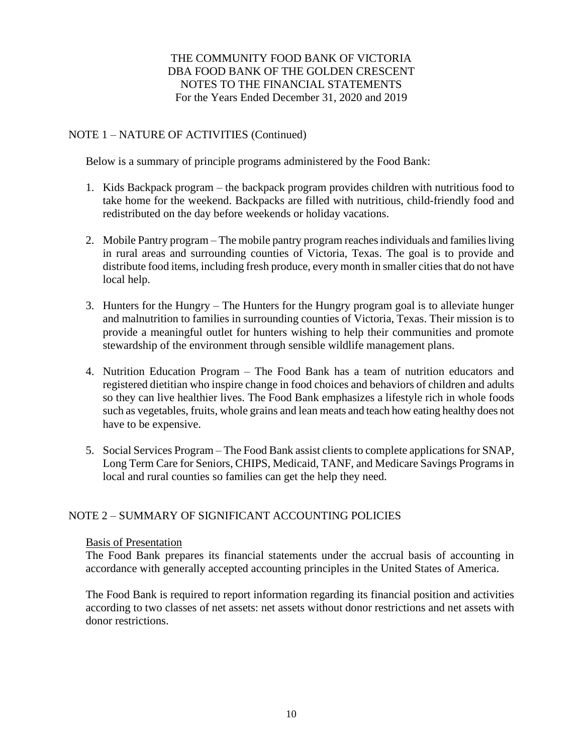### NOTE 1 – NATURE OF ACTIVITIES (Continued)

Below is a summary of principle programs administered by the Food Bank:

- 1. Kids Backpack program the backpack program provides children with nutritious food to take home for the weekend. Backpacks are filled with nutritious, child-friendly food and redistributed on the day before weekends or holiday vacations.
- 2. Mobile Pantry program The mobile pantry program reaches individuals and families living in rural areas and surrounding counties of Victoria, Texas. The goal is to provide and distribute food items, including fresh produce, every month in smaller cities that do not have local help.
- 3. Hunters for the Hungry The Hunters for the Hungry program goal is to alleviate hunger and malnutrition to families in surrounding counties of Victoria, Texas. Their mission is to provide a meaningful outlet for hunters wishing to help their communities and promote stewardship of the environment through sensible wildlife management plans.
- 4. Nutrition Education Program The Food Bank has a team of nutrition educators and registered dietitian who inspire change in food choices and behaviors of children and adults so they can live healthier lives. The Food Bank emphasizes a lifestyle rich in whole foods such as vegetables, fruits, whole grains and lean meats and teach how eating healthy does not have to be expensive.
- 5. Social Services Program The Food Bank assist clients to complete applications for SNAP, Long Term Care for Seniors, CHIPS, Medicaid, TANF, and Medicare Savings Programs in local and rural counties so families can get the help they need.

#### NOTE 2 – SUMMARY OF SIGNIFICANT ACCOUNTING POLICIES

#### Basis of Presentation

The Food Bank prepares its financial statements under the accrual basis of accounting in accordance with generally accepted accounting principles in the United States of America.

The Food Bank is required to report information regarding its financial position and activities according to two classes of net assets: net assets without donor restrictions and net assets with donor restrictions.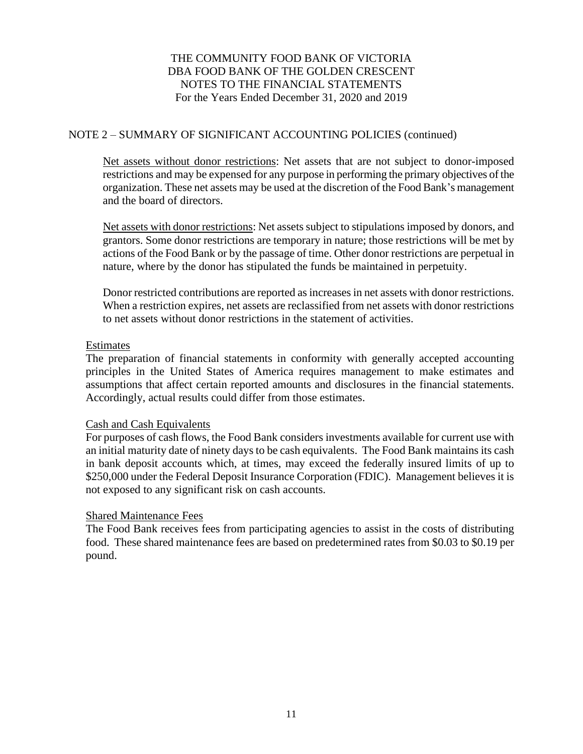### NOTE 2 – SUMMARY OF SIGNIFICANT ACCOUNTING POLICIES (continued)

Net assets without donor restrictions: Net assets that are not subject to donor-imposed restrictions and may be expensed for any purpose in performing the primary objectives of the organization. These net assets may be used at the discretion of the Food Bank's management and the board of directors.

Net assets with donor restrictions: Net assets subject to stipulations imposed by donors, and grantors. Some donor restrictions are temporary in nature; those restrictions will be met by actions of the Food Bank or by the passage of time. Other donor restrictions are perpetual in nature, where by the donor has stipulated the funds be maintained in perpetuity.

Donor restricted contributions are reported as increases in net assets with donor restrictions. When a restriction expires, net assets are reclassified from net assets with donor restrictions to net assets without donor restrictions in the statement of activities.

#### Estimates

The preparation of financial statements in conformity with generally accepted accounting principles in the United States of America requires management to make estimates and assumptions that affect certain reported amounts and disclosures in the financial statements. Accordingly, actual results could differ from those estimates.

#### Cash and Cash Equivalents

For purposes of cash flows, the Food Bank considers investments available for current use with an initial maturity date of ninety days to be cash equivalents. The Food Bank maintains its cash in bank deposit accounts which, at times, may exceed the federally insured limits of up to \$250,000 under the Federal Deposit Insurance Corporation (FDIC). Management believes it is not exposed to any significant risk on cash accounts.

#### Shared Maintenance Fees

The Food Bank receives fees from participating agencies to assist in the costs of distributing food. These shared maintenance fees are based on predetermined rates from \$0.03 to \$0.19 per pound.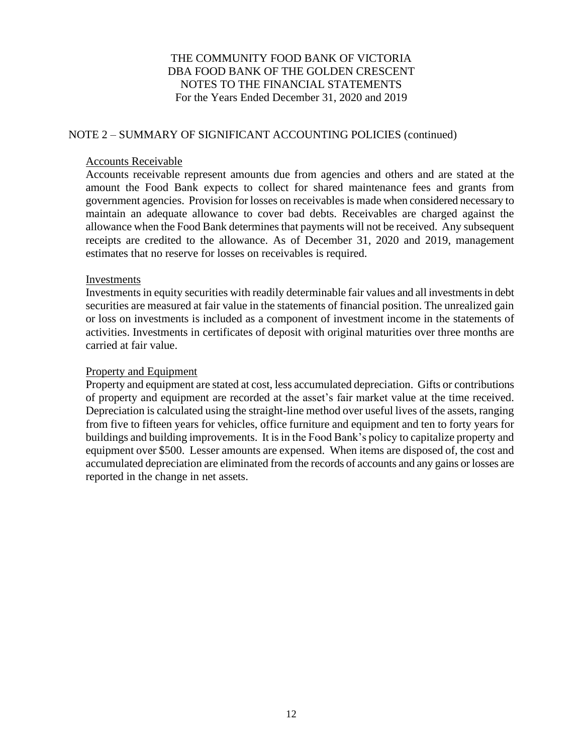#### NOTE 2 – SUMMARY OF SIGNIFICANT ACCOUNTING POLICIES (continued)

#### Accounts Receivable

Accounts receivable represent amounts due from agencies and others and are stated at the amount the Food Bank expects to collect for shared maintenance fees and grants from government agencies. Provision for losses on receivables is made when considered necessary to maintain an adequate allowance to cover bad debts. Receivables are charged against the allowance when the Food Bank determines that payments will not be received. Any subsequent receipts are credited to the allowance. As of December 31, 2020 and 2019, management estimates that no reserve for losses on receivables is required.

#### Investments

Investments in equity securities with readily determinable fair values and all investments in debt securities are measured at fair value in the statements of financial position. The unrealized gain or loss on investments is included as a component of investment income in the statements of activities. Investments in certificates of deposit with original maturities over three months are carried at fair value.

#### Property and Equipment

Property and equipment are stated at cost, less accumulated depreciation. Gifts or contributions of property and equipment are recorded at the asset's fair market value at the time received. Depreciation is calculated using the straight-line method over useful lives of the assets, ranging from five to fifteen years for vehicles, office furniture and equipment and ten to forty years for buildings and building improvements. It is in the Food Bank's policy to capitalize property and equipment over \$500. Lesser amounts are expensed. When items are disposed of, the cost and accumulated depreciation are eliminated from the records of accounts and any gains or losses are reported in the change in net assets.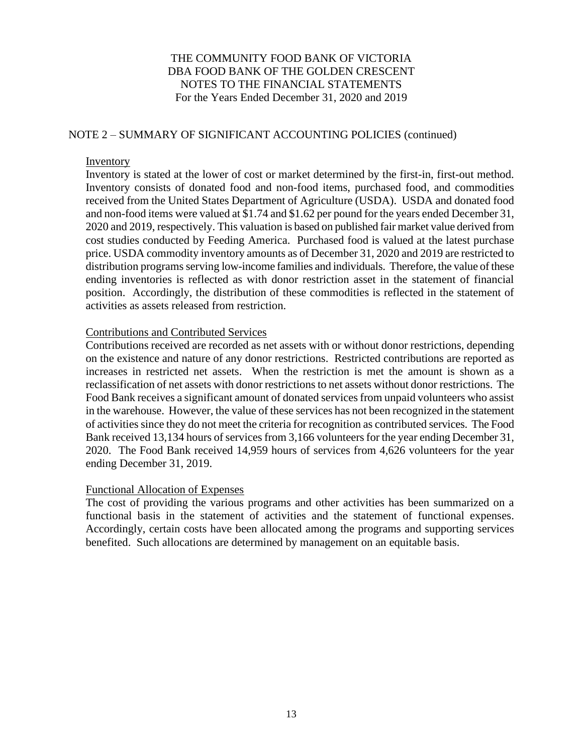### NOTE 2 – SUMMARY OF SIGNIFICANT ACCOUNTING POLICIES (continued)

#### Inventory

Inventory is stated at the lower of cost or market determined by the first-in, first-out method. Inventory consists of donated food and non-food items, purchased food, and commodities received from the United States Department of Agriculture (USDA). USDA and donated food and non-food items were valued at \$1.74 and \$1.62 per pound for the years ended December 31, 2020 and 2019, respectively. This valuation is based on published fair market value derived from cost studies conducted by Feeding America. Purchased food is valued at the latest purchase price. USDA commodity inventory amounts as of December 31, 2020 and 2019 are restricted to distribution programs serving low-income families and individuals. Therefore, the value of these ending inventories is reflected as with donor restriction asset in the statement of financial position. Accordingly, the distribution of these commodities is reflected in the statement of activities as assets released from restriction.

#### Contributions and Contributed Services

Contributions received are recorded as net assets with or without donor restrictions, depending on the existence and nature of any donor restrictions. Restricted contributions are reported as increases in restricted net assets. When the restriction is met the amount is shown as a reclassification of net assets with donor restrictions to net assets without donor restrictions. The Food Bank receives a significant amount of donated services from unpaid volunteers who assist in the warehouse. However, the value of these services has not been recognized in the statement of activities since they do not meet the criteria for recognition as contributed services. The Food Bank received 13,134 hours of services from 3,166 volunteers for the year ending December 31, 2020. The Food Bank received 14,959 hours of services from 4,626 volunteers for the year ending December 31, 2019.

#### Functional Allocation of Expenses

The cost of providing the various programs and other activities has been summarized on a functional basis in the statement of activities and the statement of functional expenses. Accordingly, certain costs have been allocated among the programs and supporting services benefited. Such allocations are determined by management on an equitable basis.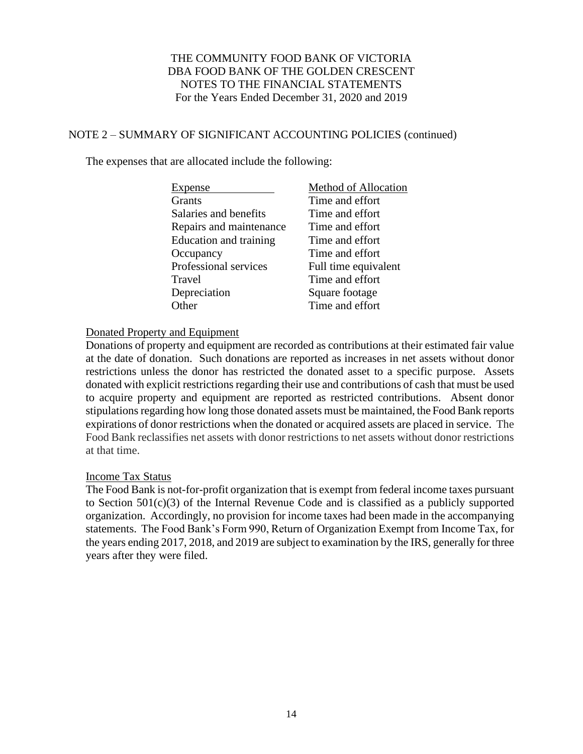### NOTE 2 – SUMMARY OF SIGNIFICANT ACCOUNTING POLICIES (continued)

The expenses that are allocated include the following:

| <b>Expense</b>          | Method of Allocation |
|-------------------------|----------------------|
| <b>Grants</b>           | Time and effort      |
| Salaries and benefits   | Time and effort      |
| Repairs and maintenance | Time and effort      |
| Education and training  | Time and effort      |
| Occupancy               | Time and effort      |
| Professional services   | Full time equivalent |
| Travel                  | Time and effort      |
| Depreciation            | Square footage       |
| <b>Other</b>            | Time and effort      |

### Donated Property and Equipment

Donations of property and equipment are recorded as contributions at their estimated fair value at the date of donation. Such donations are reported as increases in net assets without donor restrictions unless the donor has restricted the donated asset to a specific purpose. Assets donated with explicit restrictions regarding their use and contributions of cash that must be used to acquire property and equipment are reported as restricted contributions. Absent donor stipulations regarding how long those donated assets must be maintained, the Food Bank reports expirations of donor restrictions when the donated or acquired assets are placed in service. The Food Bank reclassifies net assets with donor restrictions to net assets without donor restrictions at that time.

#### Income Tax Status

The Food Bank is not-for-profit organization that is exempt from federal income taxes pursuant to Section 501(c)(3) of the Internal Revenue Code and is classified as a publicly supported organization. Accordingly, no provision for income taxes had been made in the accompanying statements. The Food Bank's Form 990, Return of Organization Exempt from Income Tax, for the years ending 2017, 2018, and 2019 are subject to examination by the IRS, generally for three years after they were filed.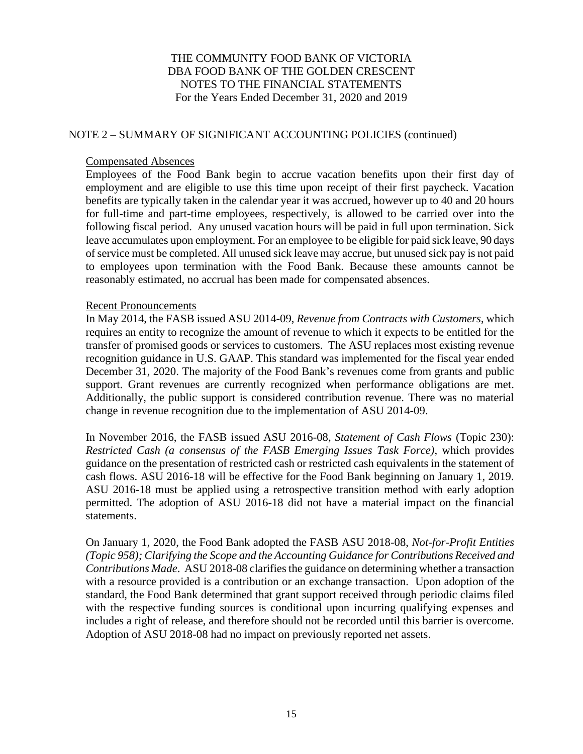### NOTE 2 – SUMMARY OF SIGNIFICANT ACCOUNTING POLICIES (continued)

#### Compensated Absences

Employees of the Food Bank begin to accrue vacation benefits upon their first day of employment and are eligible to use this time upon receipt of their first paycheck. Vacation benefits are typically taken in the calendar year it was accrued, however up to 40 and 20 hours for full-time and part-time employees, respectively, is allowed to be carried over into the following fiscal period. Any unused vacation hours will be paid in full upon termination. Sick leave accumulates upon employment. For an employee to be eligible for paid sick leave, 90 days of service must be completed. All unused sick leave may accrue, but unused sick pay is not paid to employees upon termination with the Food Bank. Because these amounts cannot be reasonably estimated, no accrual has been made for compensated absences.

#### Recent Pronouncements

In May 2014, the FASB issued ASU 2014-09, *Revenue from Contracts with Customers*, which requires an entity to recognize the amount of revenue to which it expects to be entitled for the transfer of promised goods or services to customers. The ASU replaces most existing revenue recognition guidance in U.S. GAAP. This standard was implemented for the fiscal year ended December 31, 2020. The majority of the Food Bank's revenues come from grants and public support. Grant revenues are currently recognized when performance obligations are met. Additionally, the public support is considered contribution revenue. There was no material change in revenue recognition due to the implementation of ASU 2014-09.

In November 2016, the FASB issued ASU 2016-08, *Statement of Cash Flows* (Topic 230): *Restricted Cash (a consensus of the FASB Emerging Issues Task Force)*, which provides guidance on the presentation of restricted cash or restricted cash equivalents in the statement of cash flows. ASU 2016-18 will be effective for the Food Bank beginning on January 1, 2019. ASU 2016-18 must be applied using a retrospective transition method with early adoption permitted. The adoption of ASU 2016-18 did not have a material impact on the financial statements.

On January 1, 2020, the Food Bank adopted the FASB ASU 2018-08, *Not-for-Profit Entities (Topic 958); Clarifying the Scope and the Accounting Guidance for Contributions Received and Contributions Made*. ASU 2018-08 clarifies the guidance on determining whether a transaction with a resource provided is a contribution or an exchange transaction. Upon adoption of the standard, the Food Bank determined that grant support received through periodic claims filed with the respective funding sources is conditional upon incurring qualifying expenses and includes a right of release, and therefore should not be recorded until this barrier is overcome. Adoption of ASU 2018-08 had no impact on previously reported net assets.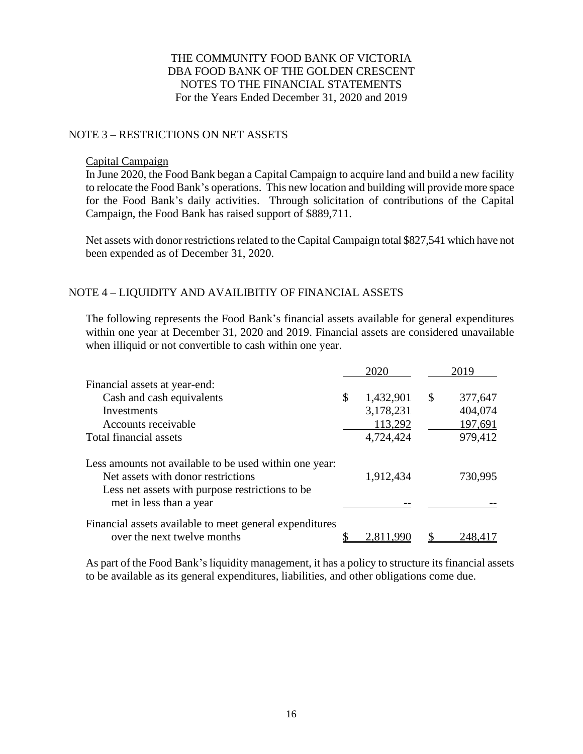#### NOTE 3 – RESTRICTIONS ON NET ASSETS

#### Capital Campaign

In June 2020, the Food Bank began a Capital Campaign to acquire land and build a new facility to relocate the Food Bank's operations. This new location and building will provide more space for the Food Bank's daily activities. Through solicitation of contributions of the Capital Campaign, the Food Bank has raised support of \$889,711.

Net assets with donor restrictions related to the Capital Campaign total \$827,541 which have not been expended as of December 31, 2020.

### NOTE 4 – LIQUIDITY AND AVAILIBITIY OF FINANCIAL ASSETS

The following represents the Food Bank's financial assets available for general expenditures within one year at December 31, 2020 and 2019. Financial assets are considered unavailable when illiquid or not convertible to cash within one year.

|                                                                                                                                                  | 2020            | 2019          |
|--------------------------------------------------------------------------------------------------------------------------------------------------|-----------------|---------------|
| Financial assets at year-end:                                                                                                                    |                 |               |
| Cash and cash equivalents                                                                                                                        | \$<br>1,432,901 | \$<br>377,647 |
| Investments                                                                                                                                      | 3,178,231       | 404,074       |
| Accounts receivable                                                                                                                              | 113,292         | 197,691       |
| Total financial assets                                                                                                                           | 4,724,424       | 979,412       |
| Less amounts not available to be used within one year:<br>Net assets with donor restrictions<br>Less net assets with purpose restrictions to be. | 1,912,434       | 730,995       |
| met in less than a year                                                                                                                          |                 |               |
| Financial assets available to meet general expenditures<br>over the next twelve months                                                           | 2.81 I          | 248.4         |

As part of the Food Bank's liquidity management, it has a policy to structure its financial assets to be available as its general expenditures, liabilities, and other obligations come due.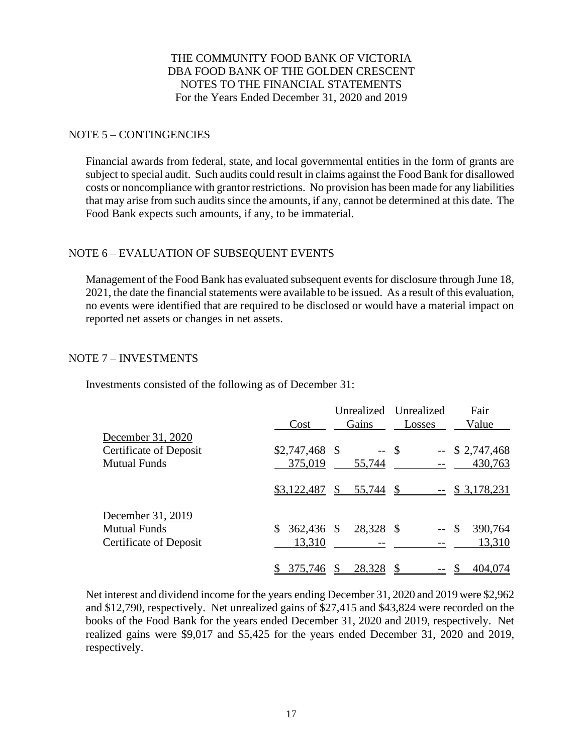#### NOTE 5 – CONTINGENCIES

Financial awards from federal, state, and local governmental entities in the form of grants are subject to special audit. Such audits could result in claims against the Food Bank for disallowed costs or noncompliance with grantor restrictions. No provision has been made for any liabilities that may arise from such audits since the amounts, if any, cannot be determined at this date. The Food Bank expects such amounts, if any, to be immaterial.

#### NOTE 6 – EVALUATION OF SUBSEQUENT EVENTS

Management of the Food Bank has evaluated subsequent events for disclosure through June 18, 2021, the date the financial statements were available to be issued. As a result of this evaluation, no events were identified that are required to be disclosed or would have a material impact on reported net assets or changes in net assets.

### NOTE 7 – INVESTMENTS

Investments consisted of the following as of December 31:

|                               |                  |                 | Unrealized Unrealized | Fair                     |
|-------------------------------|------------------|-----------------|-----------------------|--------------------------|
|                               | Cost             | Gains           | Losses                | Value                    |
| December 31, 2020             |                  |                 |                       |                          |
| Certificate of Deposit        | $$2,747,468$ \;  | $--$ \$         |                       | $-$ \$ 2,747,468         |
| <b>Mutual Funds</b>           | 375,019          | 55,744          |                       | 430,763                  |
|                               | \$3,122,487      | 55,744 \$<br>\$ |                       | $\pm$ \$ 3,178,231       |
| December 31, 2019             |                  |                 |                       |                          |
| <b>Mutual Funds</b>           | 362,436 \$<br>\$ | 28,328 \$       |                       | 390,764<br>- \$          |
| <b>Certificate of Deposit</b> | 13,310           |                 |                       | 13,310                   |
|                               | 375,746          | 28,328          |                       | <sup>\$</sup><br>404,074 |

Net interest and dividend income for the years ending December 31, 2020 and 2019 were \$2,962 and \$12,790, respectively. Net unrealized gains of \$27,415 and \$43,824 were recorded on the books of the Food Bank for the years ended December 31, 2020 and 2019, respectively. Net realized gains were \$9,017 and \$5,425 for the years ended December 31, 2020 and 2019, respectively.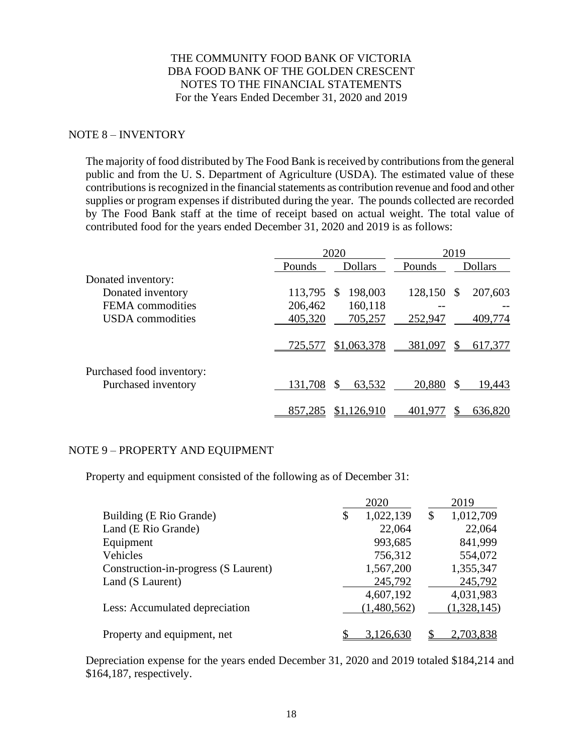#### NOTE 8 – INVENTORY

The majority of food distributed by The Food Bank is received by contributions from the general public and from the U. S. Department of Agriculture (USDA). The estimated value of these contributions is recognized in the financial statements as contribution revenue and food and other supplies or program expenses if distributed during the year. The pounds collected are recorded by The Food Bank staff at the time of receipt based on actual weight. The total value of contributed food for the years ended December 31, 2020 and 2019 is as follows:

|                                                  |         | 2020                    | 2019    |                |  |  |
|--------------------------------------------------|---------|-------------------------|---------|----------------|--|--|
|                                                  | Pounds  | <b>Dollars</b>          | Pounds  | <b>Dollars</b> |  |  |
| Donated inventory:                               |         |                         |         |                |  |  |
| Donated inventory                                | 113,795 | 198,003<br>$\mathbb{S}$ | 128,150 | 207,603<br>\$  |  |  |
| FEMA commodities                                 | 206,462 | 160,118                 |         |                |  |  |
| USDA commodities                                 | 405,320 | 705,257                 | 252,947 | 409,774        |  |  |
|                                                  | 725,577 | \$1,063,378             | 381,097 | 617,377        |  |  |
| Purchased food inventory:<br>Purchased inventory | 131,708 | \$<br>63,532            | 20,880  | \$.<br>19,443  |  |  |
|                                                  | 857,285 | \$1,126,910             | 401.9   | 636,820        |  |  |

#### NOTE 9 – PROPERTY AND EQUIPMENT

Property and equipment consisted of the following as of December 31:

|                                      | 2020            | 2019            |
|--------------------------------------|-----------------|-----------------|
| Building (E Rio Grande)              | \$<br>1,022,139 | \$<br>1,012,709 |
| Land (E Rio Grande)                  | 22,064          | 22,064          |
| Equipment                            | 993,685         | 841,999         |
| Vehicles                             | 756,312         | 554,072         |
| Construction-in-progress (S Laurent) | 1,567,200       | 1,355,347       |
| Land (S Laurent)                     | 245,792         | 245,792         |
|                                      | 4,607,192       | 4,031,983       |
| Less: Accumulated depreciation       | (1,480,562)     | (1,328,145)     |
| Property and equipment, net          | 3,126,630       | 2,703,838       |

Depreciation expense for the years ended December 31, 2020 and 2019 totaled \$184,214 and \$164,187, respectively.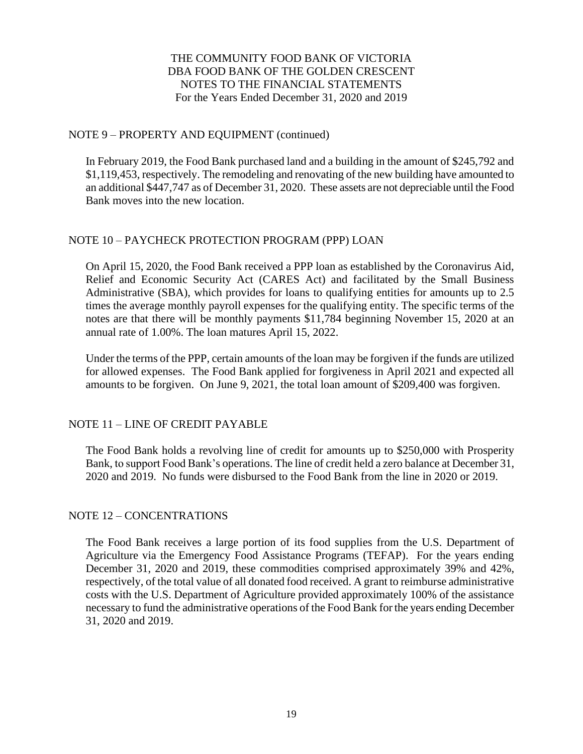### NOTE 9 – PROPERTY AND EQUIPMENT (continued)

In February 2019, the Food Bank purchased land and a building in the amount of \$245,792 and \$1,119,453, respectively. The remodeling and renovating of the new building have amounted to an additional \$447,747 as of December 31, 2020. These assets are not depreciable until the Food Bank moves into the new location.

### NOTE 10 – PAYCHECK PROTECTION PROGRAM (PPP) LOAN

On April 15, 2020, the Food Bank received a PPP loan as established by the Coronavirus Aid, Relief and Economic Security Act (CARES Act) and facilitated by the Small Business Administrative (SBA), which provides for loans to qualifying entities for amounts up to 2.5 times the average monthly payroll expenses for the qualifying entity. The specific terms of the notes are that there will be monthly payments \$11,784 beginning November 15, 2020 at an annual rate of 1.00%. The loan matures April 15, 2022.

Under the terms of the PPP, certain amounts of the loan may be forgiven if the funds are utilized for allowed expenses. The Food Bank applied for forgiveness in April 2021 and expected all amounts to be forgiven. On June 9, 2021, the total loan amount of \$209,400 was forgiven.

### NOTE 11 – LINE OF CREDIT PAYABLE

The Food Bank holds a revolving line of credit for amounts up to \$250,000 with Prosperity Bank, to support Food Bank's operations. The line of credit held a zero balance at December 31, 2020 and 2019. No funds were disbursed to the Food Bank from the line in 2020 or 2019.

#### NOTE 12 – CONCENTRATIONS

The Food Bank receives a large portion of its food supplies from the U.S. Department of Agriculture via the Emergency Food Assistance Programs (TEFAP). For the years ending December 31, 2020 and 2019, these commodities comprised approximately 39% and 42%, respectively, of the total value of all donated food received. A grant to reimburse administrative costs with the U.S. Department of Agriculture provided approximately 100% of the assistance necessary to fund the administrative operations of the Food Bank for the years ending December 31, 2020 and 2019.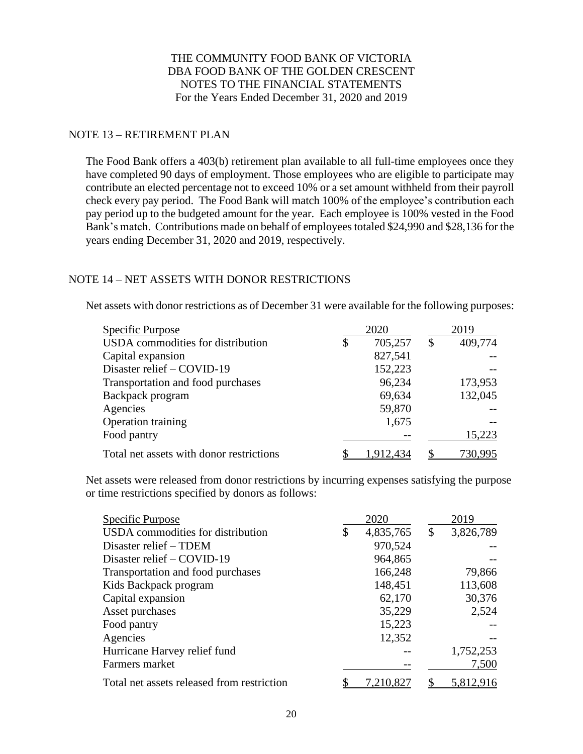### NOTE 13 – RETIREMENT PLAN

The Food Bank offers a 403(b) retirement plan available to all full-time employees once they have completed 90 days of employment. Those employees who are eligible to participate may contribute an elected percentage not to exceed 10% or a set amount withheld from their payroll check every pay period. The Food Bank will match 100% of the employee's contribution each pay period up to the budgeted amount for the year. Each employee is 100% vested in the Food Bank's match. Contributions made on behalf of employees totaled \$24,990 and \$28,136 for the years ending December 31, 2020 and 2019, respectively.

#### NOTE 14 – NET ASSETS WITH DONOR RESTRICTIONS

Net assets with donor restrictions as of December 31 were available for the following purposes:

| Specific Purpose                         | 2020 |           | 2019 |         |
|------------------------------------------|------|-----------|------|---------|
| USDA commodities for distribution        | \$   | 705,257   | \$   | 409,774 |
| Capital expansion                        |      | 827,541   |      |         |
| Disaster relief – COVID-19               |      | 152,223   |      |         |
| Transportation and food purchases        |      | 96,234    |      | 173,953 |
| Backpack program                         |      | 69,634    |      | 132,045 |
| Agencies                                 |      | 59,870    |      |         |
| Operation training                       |      | 1,675     |      |         |
| Food pantry                              |      |           |      | 15,223  |
| Total net assets with donor restrictions |      | 1,912,434 |      | 730,995 |

Net assets were released from donor restrictions by incurring expenses satisfying the purpose or time restrictions specified by donors as follows:

| Specific Purpose                           | 2020 |           | 2019            |
|--------------------------------------------|------|-----------|-----------------|
| USDA commodities for distribution          | \$   | 4,835,765 | \$<br>3,826,789 |
| Disaster relief – TDEM                     |      | 970,524   |                 |
| Disaster relief – COVID-19                 |      | 964,865   |                 |
| Transportation and food purchases          |      | 166,248   | 79,866          |
| Kids Backpack program                      |      | 148,451   | 113,608         |
| Capital expansion                          |      | 62,170    | 30,376          |
| Asset purchases                            |      | 35,229    | 2,524           |
| Food pantry                                |      | 15,223    |                 |
| Agencies                                   |      | 12,352    |                 |
| Hurricane Harvey relief fund               |      |           | 1,752,253       |
| Farmers market                             |      |           | 7,500           |
| Total net assets released from restriction |      | 7,210,827 | 5,812,916       |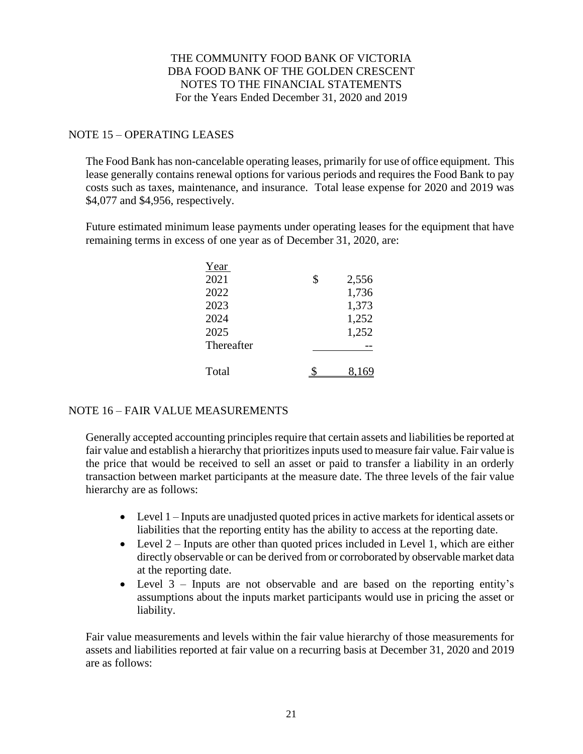### NOTE 15 – OPERATING LEASES

The Food Bank has non-cancelable operating leases, primarily for use of office equipment. This lease generally contains renewal options for various periods and requires the Food Bank to pay costs such as taxes, maintenance, and insurance. Total lease expense for 2020 and 2019 was \$4,077 and \$4,956, respectively.

Future estimated minimum lease payments under operating leases for the equipment that have remaining terms in excess of one year as of December 31, 2020, are:

| Year       |             |
|------------|-------------|
| 2021       | \$<br>2,556 |
| 2022       | 1,736       |
| 2023       | 1,373       |
| 2024       | 1,252       |
| 2025       | 1,252       |
| Thereafter |             |
|            |             |
| Total      |             |

### NOTE 16 – FAIR VALUE MEASUREMENTS

Generally accepted accounting principles require that certain assets and liabilities be reported at fair value and establish a hierarchy that prioritizes inputs used to measure fair value. Fair value is the price that would be received to sell an asset or paid to transfer a liability in an orderly transaction between market participants at the measure date. The three levels of the fair value hierarchy are as follows:

- Level 1 Inputs are unadjusted quoted prices in active markets for identical assets or liabilities that the reporting entity has the ability to access at the reporting date.
- Level  $2$  Inputs are other than quoted prices included in Level 1, which are either directly observable or can be derived from or corroborated by observable market data at the reporting date.
- Level  $3$  Inputs are not observable and are based on the reporting entity's assumptions about the inputs market participants would use in pricing the asset or liability.

Fair value measurements and levels within the fair value hierarchy of those measurements for assets and liabilities reported at fair value on a recurring basis at December 31, 2020 and 2019 are as follows: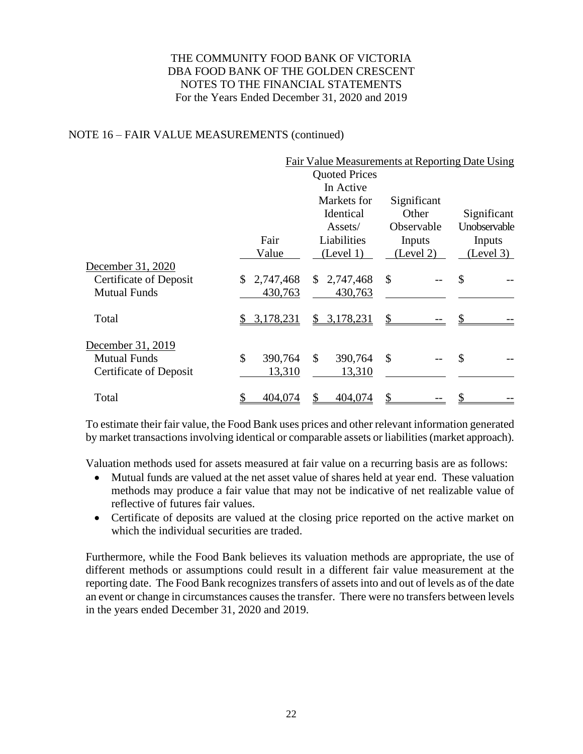#### NOTE 16 – FAIR VALUE MEASUREMENTS (continued)

|                               |               | <b>Fair Value Measurements at Reporting Date Using</b> |               |              |
|-------------------------------|---------------|--------------------------------------------------------|---------------|--------------|
|                               |               | <b>Quoted Prices</b>                                   |               |              |
|                               |               | In Active                                              |               |              |
|                               |               | Markets for                                            | Significant   |              |
|                               |               | Identical                                              | Other         | Significant  |
|                               |               | Assets/                                                | Observable    | Unobservable |
|                               | Fair          | Liabilities                                            | Inputs        | Inputs       |
|                               | Value         | (Level 1)                                              | (Level 2)     | (Level 3)    |
| December 31, 2020             |               |                                                        |               |              |
| <b>Certificate of Deposit</b> | 2,747,468     | 2,747,468<br>$\mathbb{S}^-$                            | \$            | \$           |
| <b>Mutual Funds</b>           | 430,763       | 430,763                                                |               |              |
| Total                         | 3,178,231     | \$3,178,231                                            |               |              |
|                               |               |                                                        |               |              |
| December 31, 2019             |               |                                                        |               |              |
| <b>Mutual Funds</b>           | \$<br>390,764 | \$<br>390,764                                          | $\mathcal{S}$ | \$           |
| <b>Certificate of Deposit</b> | 13,310        | 13,310                                                 |               |              |
| Total                         | 404,074<br>\$ | 404,074<br>S                                           | \$            |              |

To estimate their fair value, the Food Bank uses prices and other relevant information generated by market transactions involving identical or comparable assets or liabilities(market approach).

Valuation methods used for assets measured at fair value on a recurring basis are as follows:

- Mutual funds are valued at the net asset value of shares held at year end. These valuation methods may produce a fair value that may not be indicative of net realizable value of reflective of futures fair values.
- Certificate of deposits are valued at the closing price reported on the active market on which the individual securities are traded.

Furthermore, while the Food Bank believes its valuation methods are appropriate, the use of different methods or assumptions could result in a different fair value measurement at the reporting date. The Food Bank recognizes transfers of assets into and out of levels as of the date an event or change in circumstances causes the transfer. There were no transfers between levels in the years ended December 31, 2020 and 2019.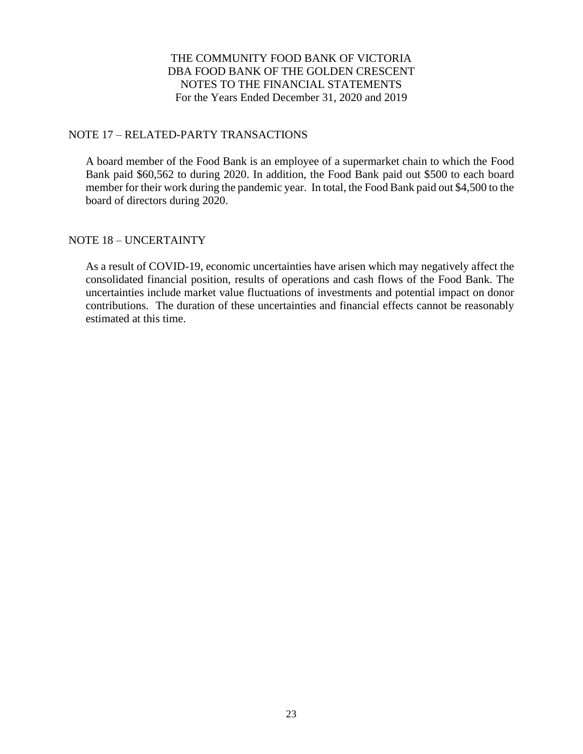### NOTE 17 – RELATED-PARTY TRANSACTIONS

A board member of the Food Bank is an employee of a supermarket chain to which the Food Bank paid \$60,562 to during 2020. In addition, the Food Bank paid out \$500 to each board member for their work during the pandemic year. In total, the Food Bank paid out \$4,500 to the board of directors during 2020.

### NOTE 18 – UNCERTAINTY

As a result of COVID-19, economic uncertainties have arisen which may negatively affect the consolidated financial position, results of operations and cash flows of the Food Bank. The uncertainties include market value fluctuations of investments and potential impact on donor contributions. The duration of these uncertainties and financial effects cannot be reasonably estimated at this time.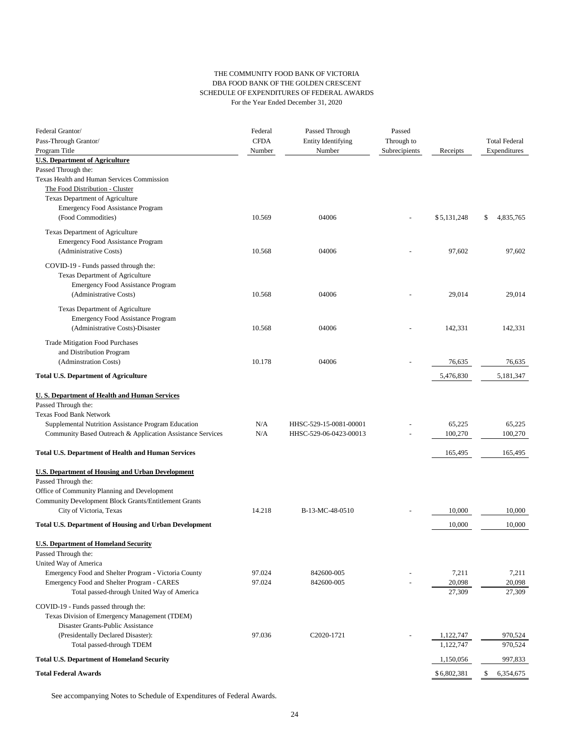| Federal Grantor/                                              | Federal     | Passed Through            | Passed        |             |                      |
|---------------------------------------------------------------|-------------|---------------------------|---------------|-------------|----------------------|
| Pass-Through Grantor/                                         | <b>CFDA</b> | <b>Entity Identifying</b> | Through to    |             | <b>Total Federal</b> |
| Program Title                                                 | Number      | Number                    | Subrecipients | Receipts    | Expenditures         |
| <b>U.S. Department of Agriculture</b>                         |             |                           |               |             |                      |
| Passed Through the:                                           |             |                           |               |             |                      |
| <b>Texas Health and Human Services Commission</b>             |             |                           |               |             |                      |
| The Food Distribution - Cluster                               |             |                           |               |             |                      |
| <b>Texas Department of Agriculture</b>                        |             |                           |               |             |                      |
| <b>Emergency Food Assistance Program</b>                      |             |                           |               |             |                      |
| (Food Commodities)                                            | 10.569      | 04006                     |               | \$5,131,248 | \$<br>4,835,765      |
| Texas Department of Agriculture                               |             |                           |               |             |                      |
| <b>Emergency Food Assistance Program</b>                      |             |                           |               |             |                      |
| (Administrative Costs)                                        | 10.568      | 04006                     |               | 97,602      | 97,602               |
|                                                               |             |                           |               |             |                      |
| COVID-19 - Funds passed through the:                          |             |                           |               |             |                      |
| <b>Texas Department of Agriculture</b>                        |             |                           |               |             |                      |
| <b>Emergency Food Assistance Program</b>                      |             |                           |               |             |                      |
| (Administrative Costs)                                        | 10.568      | 04006                     |               | 29,014      | 29,014               |
| Texas Department of Agriculture                               |             |                           |               |             |                      |
| <b>Emergency Food Assistance Program</b>                      |             |                           |               |             |                      |
| (Administrative Costs)-Disaster                               | 10.568      | 04006                     |               | 142,331     | 142,331              |
| <b>Trade Mitigation Food Purchases</b>                        |             |                           |               |             |                      |
| and Distribution Program                                      |             |                           |               |             |                      |
| (Adminstration Costs)                                         | 10.178      | 04006                     |               | 76,635      | 76,635               |
| <b>Total U.S. Department of Agriculture</b>                   |             |                           |               | 5,476,830   | 5,181,347            |
| <b>U.S. Department of Health and Human Services</b>           |             |                           |               |             |                      |
| Passed Through the:                                           |             |                           |               |             |                      |
| <b>Texas Food Bank Network</b>                                |             |                           |               |             |                      |
| Supplemental Nutrition Assistance Program Education           | N/A         | HHSC-529-15-0081-00001    |               | 65,225      | 65,225               |
| Community Based Outreach & Application Assistance Services    | N/A         | HHSC-529-06-0423-00013    |               | 100,270     | 100,270              |
|                                                               |             |                           |               |             |                      |
| <b>Total U.S. Department of Health and Human Services</b>     |             |                           |               | 165,495     | 165,495              |
| <b>U.S. Department of Housing and Urban Development</b>       |             |                           |               |             |                      |
| Passed Through the:                                           |             |                           |               |             |                      |
| Office of Community Planning and Development                  |             |                           |               |             |                      |
| <b>Community Development Block Grants/Entitlement Grants</b>  |             |                           |               |             |                      |
| City of Victoria, Texas                                       | 14.218      | B-13-MC-48-0510           |               | 10,000      | 10,000               |
| <b>Total U.S. Department of Housing and Urban Development</b> |             |                           |               | 10,000      | 10,000               |
|                                                               |             |                           |               |             |                      |
| <b>U.S. Department of Homeland Security</b>                   |             |                           |               |             |                      |
| Passed Through the:                                           |             |                           |               |             |                      |
| United Way of America                                         |             |                           |               |             |                      |

| Emergency Food and Shelter Program - Victoria County | 97.024 | 842600-005                           | 7,211       | 7,211     |
|------------------------------------------------------|--------|--------------------------------------|-------------|-----------|
| <b>Emergency Food and Shelter Program - CARES</b>    | 97.024 | 842600-005                           | 20,098      | 20,098    |
| Total passed-through United Way of America           |        |                                      | 27,309      | 27,309    |
| COVID-19 - Funds passed through the:                 |        |                                      |             |           |
| Texas Division of Emergency Management (TDEM)        |        |                                      |             |           |
| Disaster Grants-Public Assistance                    |        |                                      |             |           |
| (Presidentally Declared Disaster):                   | 97.036 | C <sub>2</sub> 0 <sub>2</sub> 0-1721 | 1,122,747   | 970,524   |
| Total passed-through TDEM                            |        |                                      | 1,122,747   | 970,524   |
| <b>Total U.S. Department of Homeland Security</b>    |        |                                      | 1,150,056   | 997,833   |
| <b>Total Federal Awards</b>                          |        |                                      | \$6,802,381 | 6,354,675 |

# THE COMMUNITY FOOD BANK OF VICTORIA SCHEDULE OF EXPENDITURES OF FEDERAL AWARDS For the Year Ended December 31, 2020 DBA FOOD BANK OF THE GOLDEN CRESCENT

See accompanying Notes to Schedule of Expenditures of Federal Awards.

24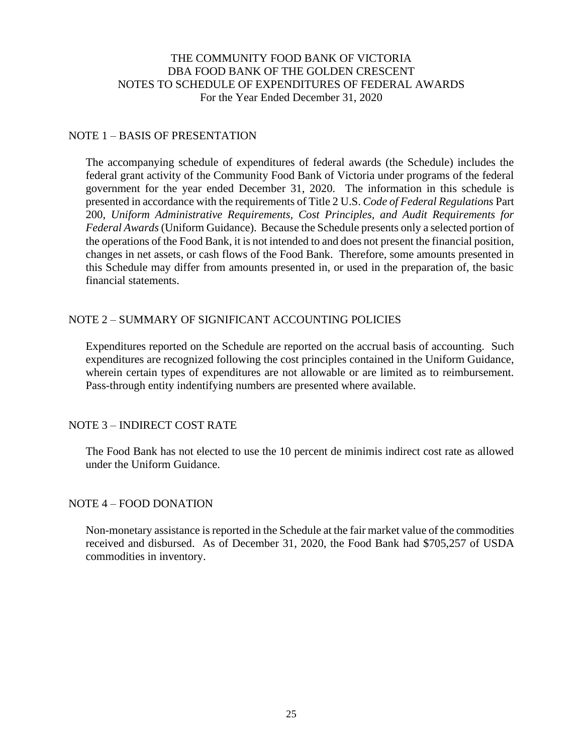### THE COMMUNITY FOOD BANK OF VICTORIA DBA FOOD BANK OF THE GOLDEN CRESCENT NOTES TO SCHEDULE OF EXPENDITURES OF FEDERAL AWARDS For the Year Ended December 31, 2020

#### NOTE 1 – BASIS OF PRESENTATION

The accompanying schedule of expenditures of federal awards (the Schedule) includes the federal grant activity of the Community Food Bank of Victoria under programs of the federal government for the year ended December 31, 2020. The information in this schedule is presented in accordance with the requirements of Title 2 U.S. *Code of Federal Regulations* Part 200, *Uniform Administrative Requirements, Cost Principles, and Audit Requirements for Federal Awards*(Uniform Guidance). Because the Schedule presents only a selected portion of the operations of the Food Bank, it is not intended to and does not present the financial position, changes in net assets, or cash flows of the Food Bank. Therefore, some amounts presented in this Schedule may differ from amounts presented in, or used in the preparation of, the basic financial statements.

#### NOTE 2 – SUMMARY OF SIGNIFICANT ACCOUNTING POLICIES

Expenditures reported on the Schedule are reported on the accrual basis of accounting. Such expenditures are recognized following the cost principles contained in the Uniform Guidance, wherein certain types of expenditures are not allowable or are limited as to reimbursement. Pass-through entity indentifying numbers are presented where available.

### NOTE 3 – INDIRECT COST RATE

The Food Bank has not elected to use the 10 percent de minimis indirect cost rate as allowed under the Uniform Guidance.

#### NOTE 4 – FOOD DONATION

Non-monetary assistance is reported in the Schedule at the fair market value of the commodities received and disbursed. As of December 31, 2020, the Food Bank had \$705,257 of USDA commodities in inventory.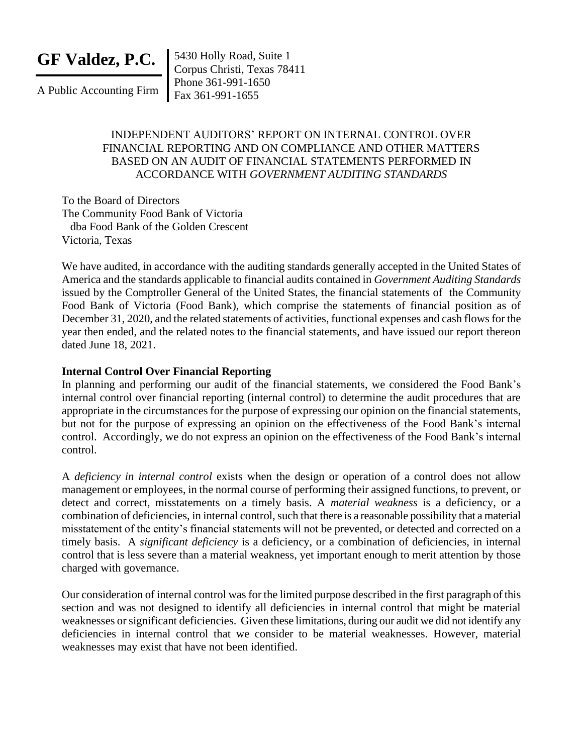

A Public Accounting Firm Fax 361-991-1655 5430 Holly Road, Suite 1 Corpus Christi, Texas 78411 Phone 361-991-1650

### INDEPENDENT AUDITORS' REPORT ON INTERNAL CONTROL OVER FINANCIAL REPORTING AND ON COMPLIANCE AND OTHER MATTERS BASED ON AN AUDIT OF FINANCIAL STATEMENTS PERFORMED IN ACCORDANCE WITH *GOVERNMENT AUDITING STANDARDS*

To the Board of Directors The Community Food Bank of Victoria dba Food Bank of the Golden Crescent Victoria, Texas

We have audited, in accordance with the auditing standards generally accepted in the United States of America and the standards applicable to financial audits contained in *Government Auditing Standards* issued by the Comptroller General of the United States, the financial statements of the Community Food Bank of Victoria (Food Bank), which comprise the statements of financial position as of December 31, 2020, and the related statements of activities, functional expenses and cash flows for the year then ended, and the related notes to the financial statements, and have issued our report thereon dated June 18, 2021.

### **Internal Control Over Financial Reporting**

In planning and performing our audit of the financial statements, we considered the Food Bank's internal control over financial reporting (internal control) to determine the audit procedures that are appropriate in the circumstances for the purpose of expressing our opinion on the financial statements, but not for the purpose of expressing an opinion on the effectiveness of the Food Bank's internal control. Accordingly, we do not express an opinion on the effectiveness of the Food Bank's internal control.

A *deficiency in internal control* exists when the design or operation of a control does not allow management or employees, in the normal course of performing their assigned functions, to prevent, or detect and correct, misstatements on a timely basis. A *material weakness* is a deficiency, or a combination of deficiencies, in internal control, such that there is a reasonable possibility that a material misstatement of the entity's financial statements will not be prevented, or detected and corrected on a timely basis. A *significant deficiency* is a deficiency, or a combination of deficiencies, in internal control that is less severe than a material weakness, yet important enough to merit attention by those charged with governance.

Our consideration of internal control was for the limited purpose described in the first paragraph of this section and was not designed to identify all deficiencies in internal control that might be material weaknesses or significant deficiencies. Given these limitations, during our audit we did not identify any deficiencies in internal control that we consider to be material weaknesses. However, material weaknesses may exist that have not been identified.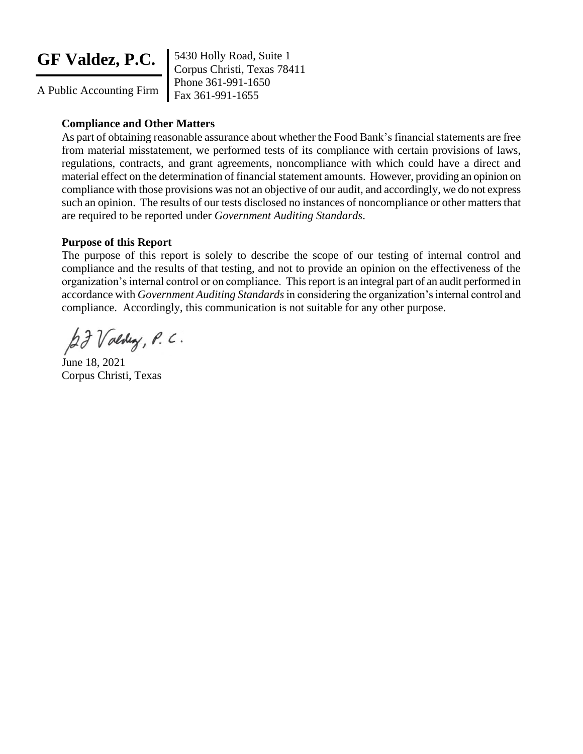

A Public Accounting Firm Fax 361-991-1655

5430 Holly Road, Suite 1 Corpus Christi, Texas 78411 Phone 361-991-1650

### **Compliance and Other Matters**

As part of obtaining reasonable assurance about whether the Food Bank's financial statements are free from material misstatement, we performed tests of its compliance with certain provisions of laws, regulations, contracts, and grant agreements, noncompliance with which could have a direct and material effect on the determination of financial statement amounts. However, providing an opinion on compliance with those provisions was not an objective of our audit, and accordingly, we do not express such an opinion. The results of our tests disclosed no instances of noncompliance or other matters that are required to be reported under *Government Auditing Standards*.

#### **Purpose of this Report**

The purpose of this report is solely to describe the scope of our testing of internal control and compliance and the results of that testing, and not to provide an opinion on the effectiveness of the organization's internal control or on compliance. This report is an integral part of an audit performed in accordance with *Government Auditing Standards*in considering the organization's internal control and compliance. Accordingly, this communication is not suitable for any other purpose.

pt Valdey, P.C.

June 18, 2021 Corpus Christi, Texas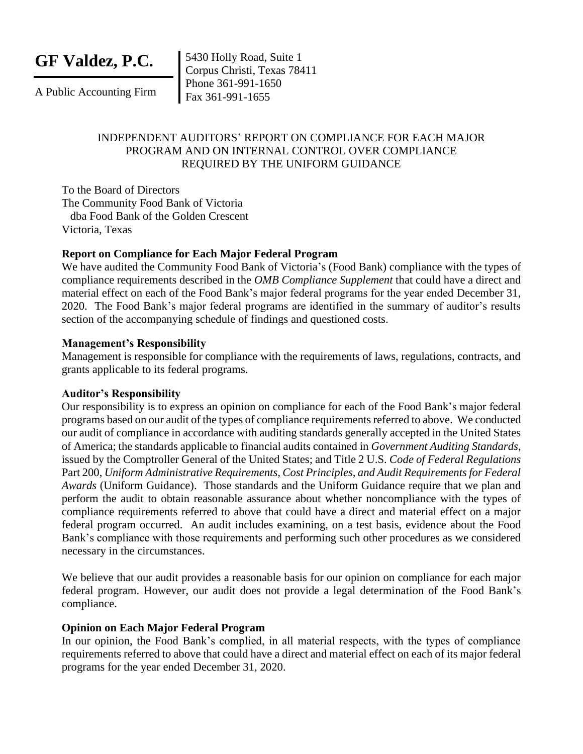**GF Valdez, P.C.**

A Public Accounting Firm

5430 Holly Road, Suite 1 Corpus Christi, Texas 78411 Phone 361-991-1650 Fax 361-991-1655

### INDEPENDENT AUDITORS' REPORT ON COMPLIANCE FOR EACH MAJOR PROGRAM AND ON INTERNAL CONTROL OVER COMPLIANCE REQUIRED BY THE UNIFORM GUIDANCE

To the Board of Directors The Community Food Bank of Victoria dba Food Bank of the Golden Crescent Victoria, Texas

#### **Report on Compliance for Each Major Federal Program**

We have audited the Community Food Bank of Victoria's (Food Bank) compliance with the types of compliance requirements described in the *OMB Compliance Supplement* that could have a direct and material effect on each of the Food Bank's major federal programs for the year ended December 31, 2020. The Food Bank's major federal programs are identified in the summary of auditor's results section of the accompanying schedule of findings and questioned costs.

### **Management's Responsibility**

Management is responsible for compliance with the requirements of laws, regulations, contracts, and grants applicable to its federal programs.

#### **Auditor's Responsibility**

Our responsibility is to express an opinion on compliance for each of the Food Bank's major federal programs based on our audit of the types of compliance requirements referred to above. We conducted our audit of compliance in accordance with auditing standards generally accepted in the United States of America; the standards applicable to financial audits contained in *Government Auditing Standards*, issued by the Comptroller General of the United States; and Title 2 U.S. *Code of Federal Regulations* Part 200, *Uniform Administrative Requirements, Cost Principles, and Audit Requirements for Federal Awards* (Uniform Guidance). Those standards and the Uniform Guidance require that we plan and perform the audit to obtain reasonable assurance about whether noncompliance with the types of compliance requirements referred to above that could have a direct and material effect on a major federal program occurred. An audit includes examining, on a test basis, evidence about the Food Bank's compliance with those requirements and performing such other procedures as we considered necessary in the circumstances.

We believe that our audit provides a reasonable basis for our opinion on compliance for each major federal program. However, our audit does not provide a legal determination of the Food Bank's compliance.

#### **Opinion on Each Major Federal Program**

In our opinion, the Food Bank's complied, in all material respects, with the types of compliance requirements referred to above that could have a direct and material effect on each of its major federal programs for the year ended December 31, 2020.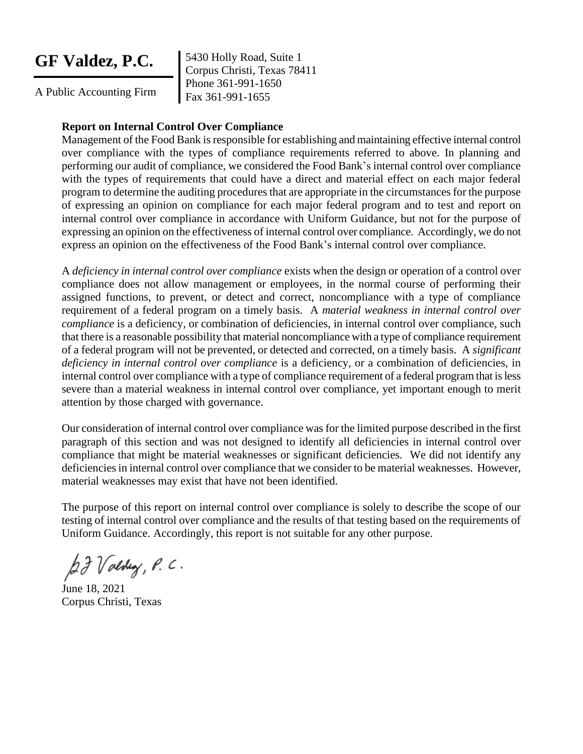# **GF Valdez, P.C.**

A Public Accounting Firm

5430 Holly Road, Suite 1 Corpus Christi, Texas 78411 Phone 361-991-1650 Fax 361-991-1655

### **Report on Internal Control Over Compliance**

Management of the Food Bank is responsible for establishing and maintaining effective internal control over compliance with the types of compliance requirements referred to above. In planning and performing our audit of compliance, we considered the Food Bank's internal control over compliance with the types of requirements that could have a direct and material effect on each major federal program to determine the auditing procedures that are appropriate in the circumstances for the purpose of expressing an opinion on compliance for each major federal program and to test and report on internal control over compliance in accordance with Uniform Guidance, but not for the purpose of expressing an opinion on the effectiveness of internal control over compliance. Accordingly, we do not express an opinion on the effectiveness of the Food Bank's internal control over compliance.

A *deficiency in internal control over compliance* exists when the design or operation of a control over compliance does not allow management or employees, in the normal course of performing their assigned functions, to prevent, or detect and correct, noncompliance with a type of compliance requirement of a federal program on a timely basis. A *material weakness in internal control over compliance* is a deficiency, or combination of deficiencies, in internal control over compliance, such that there is a reasonable possibility that material noncompliance with a type of compliance requirement of a federal program will not be prevented, or detected and corrected, on a timely basis. A *significant deficiency in internal control over compliance* is a deficiency, or a combination of deficiencies, in internal control over compliance with a type of compliance requirement of a federal program that is less severe than a material weakness in internal control over compliance, yet important enough to merit attention by those charged with governance.

Our consideration of internal control over compliance was for the limited purpose described in the first paragraph of this section and was not designed to identify all deficiencies in internal control over compliance that might be material weaknesses or significant deficiencies. We did not identify any deficiencies in internal control over compliance that we consider to be material weaknesses. However, material weaknesses may exist that have not been identified.

The purpose of this report on internal control over compliance is solely to describe the scope of our testing of internal control over compliance and the results of that testing based on the requirements of Uniform Guidance. Accordingly, this report is not suitable for any other purpose.

22 Valdey, P.C.

June 18, 2021 Corpus Christi, Texas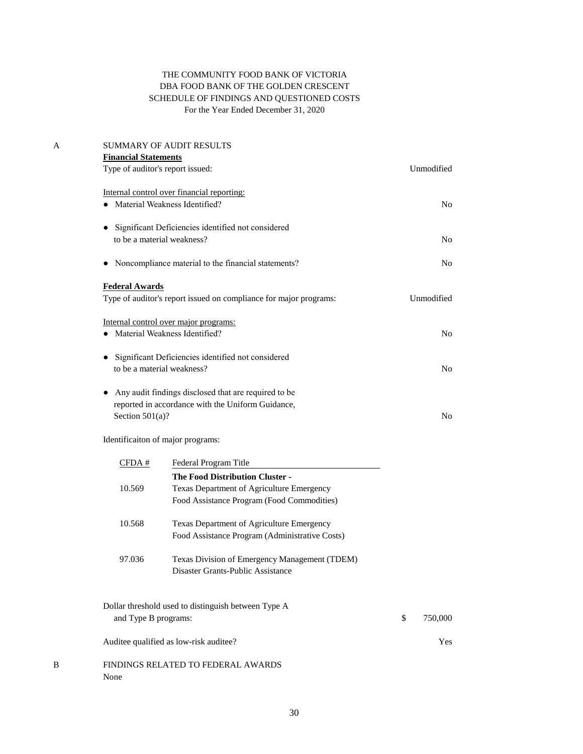# THE COMMUNITY FOOD BANK OF VICTORIA SCHEDULE OF FINDINGS AND QUESTIONED COSTS For the Year Ended December 31, 2020 DBA FOOD BANK OF THE GOLDEN CRESCENT

| A | <b>SUMMARY OF AUDIT RESULTS</b>                                         |            |
|---|-------------------------------------------------------------------------|------------|
|   | <b>Financial Statements</b>                                             |            |
|   | Type of auditor's report issued:                                        | Unmodified |
|   | Internal control over financial reporting:                              |            |
|   | • Material Weakness Identified?                                         | No         |
|   | • Significant Deficiencies identified not considered                    |            |
|   | to be a material weakness?                                              | No         |
|   | Noncompliance material to the financial statements?<br>$\bullet$        | No         |
|   | <b>Federal Awards</b>                                                   |            |
|   | Type of auditor's report issued on compliance for major programs:       | Unmodified |
|   | Internal control over major programs:                                   |            |
|   | • Material Weakness Identified?                                         | No         |
|   | • Significant Deficiencies identified not considered                    |            |
|   | to be a material weakness?                                              | No         |
|   | Any audit findings disclosed that are required to be                    |            |
|   | reported in accordance with the Uniform Guidance,<br>Section $501(a)$ ? | No         |
|   |                                                                         |            |
|   | Identificaiton of major programs:                                       |            |

|   | CFDA #               | Federal Program Title                               |               |
|---|----------------------|-----------------------------------------------------|---------------|
|   |                      | <b>The Food Distribution Cluster -</b>              |               |
|   | 10.569               | <b>Texas Department of Agriculture Emergency</b>    |               |
|   |                      | Food Assistance Program (Food Commodities)          |               |
|   | 10.568               | <b>Texas Department of Agriculture Emergency</b>    |               |
|   |                      | Food Assistance Program (Administrative Costs)      |               |
|   | 97.036               | Texas Division of Emergency Management (TDEM)       |               |
|   |                      | Disaster Grants-Public Assistance                   |               |
|   |                      |                                                     |               |
|   | and Type B programs: | Dollar threshold used to distinguish between Type A | \$<br>750,000 |
|   |                      | Auditee qualified as low-risk auditee?              | Yes           |
| B |                      | FINDINGS RELATED TO FEDERAL AWARDS                  |               |

None